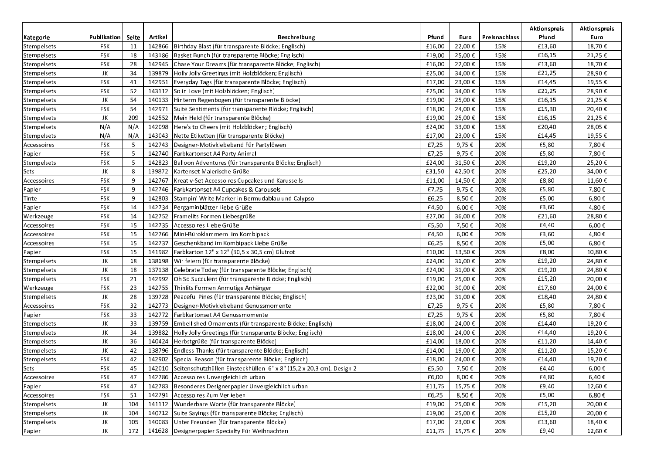|             |             |       |         |                                                                      |        |         |               | <b>Aktionspreis</b> | <b>Aktionspreis</b> |
|-------------|-------------|-------|---------|----------------------------------------------------------------------|--------|---------|---------------|---------------------|---------------------|
| Kategorie   | Publikation | Seite | Artikel | Beschreibung                                                         | Pfund  | Euro    | Preisnachlass | Pfund               | Euro                |
| Stempelsets | FSK         | 11    | 142866  | Birthday Blast (für transparente Blöcke; Englisch)                   | £16,00 | 22,00€  | 15%           | £13,60              | 18,70€              |
| Stempelsets | FSK         | 18    | 143186  | Basket Bunch (für transparente Blöcke; Englisch)                     | £19,00 | 25,00€  | 15%           | £16,15              | 21,25€              |
| Stempelsets | <b>FSK</b>  | 28    | 142945  | Chase Your Dreams (für transparente Blöcke; Englisch)                | £16,00 | 22,00 € | 15%           | £13,60              | 18,70€              |
| Stempelsets | JK          | 34    | 139879  | Holly Jolly Greetings (mit Holzblöcken; Englisch)                    | £25,00 | 34,00€  | 15%           | £21,25              | 28,90€              |
| Stempelsets | FSK         | 41    | 142951  | Everyday Tags (für transparente Blöcke; Englisch)                    | £17,00 | 23,00 € | 15%           | £14,45              | 19,55€              |
| Stempelsets | FSK         | 52    | 143112  | So in Love (mit Holzblöcken; Englisch)                               | £25,00 | 34,00€  | 15%           | £21,25              | 28,90€              |
| Stempelsets | JK          | 54    | 140133  | Hinterm Regenbogen (für transparente Blöcke)                         | £19,00 | 25,00€  | 15%           | £16,15              | 21,25€              |
| Stempelsets | FSK         | 54    | 142971  | Suite Sentiments (für transparente Blöcke; Englisch)                 | £18,00 | 24,00€  | 15%           | £15,30              | 20,40€              |
| Stempelsets | JK          | 209   | 142552  | Mein Held (für transparente Blöcke)                                  | £19,00 | 25,00€  | 15%           | £16,15              | 21,25€              |
| Stempelsets | N/A         | N/A   | 142098  | Here's to Cheers (mit Holzblöcken; Englisch)                         | £24,00 | 33,00€  | 15%           | £20,40              | 28,05€              |
| Stempelsets | N/A         | N/A   | 143043  | Nette Etiketten (für transparente Blöcke)                            | £17,00 | 23,00€  | 15%           | £14,45              | 19,55€              |
| Accessoires | FSK         | 5     | 142743  | Designer-Motivklebeband Für Partylöwen                               | £7,25  | 9,75€   | 20%           | £5,80               | 7,80€               |
| Papier      | <b>FSK</b>  | 5     | 142740  | Farbkartonset A4 Party Animal                                        | £7,25  | 9,75€   | 20%           | £5,80               | 7,80€               |
| Stempelsets | <b>FSK</b>  | 5     | 142823  | Balloon Adventures (für transparente Blöcke; Englisch)               | £24,00 | 31,50€  | 20%           | £19,20              | 25,20€              |
| Sets        | JK          | 8     | 139872  | Kartenset Malerische Grüße                                           | £31,50 | 42,50€  | 20%           | £25,20              | 34,00€              |
| Accessoires | <b>FSK</b>  | 9     | 142767  | Kreativ-Set Accessoires Cupcakes und Karussells                      | £11,00 | 14,50€  | 20%           | £8,80               | 11,60€              |
| Papier      | FSK         | 9     | 142746  | Farbkartonset A4 Cupcakes & Carousels                                | £7,25  | 9,75€   | 20%           | £5,80               | 7,80€               |
| Tinte       | FSK         | 9     | 142803  | Stampin' Write Marker in Bermudablau und Calypso                     | £6,25  | 8,50€   | 20%           | £5,00               | 6,80€               |
| Papier      | FSK         | 14    | 142734  | Pergaminblätter Liebe Grüße                                          | £4,50  | 6,00€   | 20%           | £3,60               | 4,80€               |
| Werkzeuge   | FSK         | 14    | 142752  | Framelits Formen Liebesgrüße                                         | £27,00 | 36,00€  | 20%           | £21,60              | 28,80€              |
| Accessoires | FSK         | 15    | 142735  | Accessoires Liebe Grüße                                              | £5,50  | 7,50€   | 20%           | £4,40               | 6,00€               |
| Accessoires | <b>FSK</b>  | 15    | 142766  | Mini-Büroklammern im Kombipack                                       | £4,50  | 6,00€   | 20%           | £3,60               | 4,80€               |
| Accessoires | <b>FSK</b>  | 15    | 142737  | Geschenkband im Kombipack Liebe Grüße                                | £6,25  | 8,50€   | 20%           | £5,00               | 6,80€               |
| Papier      | FSK         | 15    | 141982  | Farbkarton 12" x 12" (30,5 x 30,5 cm) Glutrot                        | £10,00 | 13,50€  | 20%           | £8,00               | 10,80€              |
| Stempelsets | JK          | 18    | 138198  | Wir feiern (für transparente Blöcke)                                 | £24,00 | 31,00€  | 20%           | £19,20              | 24,80€              |
| Stempelsets | JK          | 18    | 137138  | Celebrate Today (für transparente Blöcke; Englisch)                  | £24,00 | 31,00€  | 20%           | £19,20              | 24,80€              |
| Stempelsets | <b>FSK</b>  | 21    | 142992  | Oh So Succulent (für transparente Blöcke; Englisch)                  | £19,00 | 25,00 € | 20%           | £15,20              | 20,00€              |
| Werkzeuge   | <b>FSK</b>  | 23    | 142755  | Thinlits Formen Anmutige Anhänger                                    | £22,00 | 30,00€  | 20%           | £17,60              | 24,00€              |
| Stempelsets | JK          | 28    | 139728  | Peaceful Pines (für transparente Blöcke; Englisch)                   | £23,00 | 31,00€  | 20%           | £18,40              | 24,80€              |
| Accessoires | FSK         | 32    | 142773  | Designer-Motivklebeband Genussmomente                                | £7,25  | 9,75€   | 20%           | £5,80               | 7,80€               |
| Papier      | FSK         | 33    | 142772  | Farbkartonset A4 Genussmomente                                       | £7,25  | 9,75€   | 20%           | £5,80               | 7,80€               |
| Stempelsets | JK          | 33    | 139759  | Embellished Ornaments (für transparente Blöcke; Englisch)            | £18,00 | 24,00€  | 20%           | £14,40              | 19,20€              |
| Stempelsets | JK          | 34    | 139882  | Holly Jolly Greetings (für transparente Blöcke; Englisch)            | £18,00 | 24,00€  | 20%           | £14,40              | 19,20€              |
| Stempelsets | JK          | 36    | 140424  | Herbstgrüße (für transparente Blöcke)                                | £14,00 | 18,00€  | 20%           | £11,20              | 14,40€              |
| Stempelsets | JK          | 42    | 138796  | Endless Thanks (für transparente Blöcke; Englisch)                   | £14,00 | 19,00€  | 20%           | £11,20              | 15,20€              |
| Stempelsets | <b>FSK</b>  | 42    | 142902  | Special Reason (für transparente Blöcke; Englisch)                   | £18,00 | 24,00 € | 20%           | £14,40              | 19,20€              |
| Sets        | FSK         | 45    | 142010  | Seitenschutzhüllen Einsteckhüllen 6" x 8" (15,2 x 20,3 cm), Design 2 | £5,50  | 7,50€   | 20%           | £4,40               | $6,00 \in$          |
| Accessoires | <b>FSK</b>  | 47    |         | 142786 Accessoires Unvergleichlich urban                             | £6,00  | 8,00€   | 20%           | £4,80               | 6,40€               |
| Papier      | <b>FSK</b>  | 47    | 142783  | Besonderes Designerpapier Unvergleichlich urban                      | £11,75 | 15,75 € | 20%           | £9,40               | 12,60€              |
| Accessoires | FSK         | 51    | 142791  | Accessoires Zum Verlieben                                            | £6,25  | 8,50€   | 20%           | £5,00               | 6,80€               |
| Stempelsets | JK          | 104   | 141112  | Wunderbare Worte (für transparente Blöcke)                           | £19,00 | 25,00 € | 20%           | £15,20              | 20,00€              |
| Stempelsets | JK          | 104   | 140712  | Suite Sayings (für transparente Blöcke; Englisch)                    | £19,00 | 25,00 € | 20%           | £15,20              | 20,00€              |
| Stempelsets | JK          | 105   | 140083  | Unter Freunden (für transparente Blöcke)                             | £17,00 | 23,00 € | 20%           | £13,60              | 18,40€              |
| Papier      | JK          | 172   | 141628  | Designerpapier Specialty Für Weihnachten                             | £11,75 | 15,75 € | 20%           | £9,40               | 12,60€              |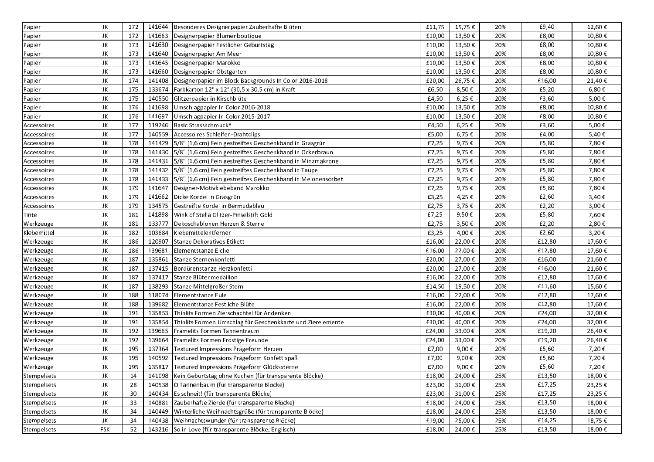| Papier      | JK  | 172 | 141644 | Besonderes Designerpapier Zauberhafte Blüten                   | £11,75 | 15,75€  | 20% | £9,40  | 12,60€ |
|-------------|-----|-----|--------|----------------------------------------------------------------|--------|---------|-----|--------|--------|
| Papier      | JK  | 172 | 141663 | Designerpapier Blumenboutique                                  | £10,00 | 13,50€  | 20% | £8,00  | 10,80€ |
| Papier      | JK  | 173 | 141630 | Designerpapier Festlicher Geburtstag                           | £10,00 | 13,50€  | 20% | £8,00  | 10,80€ |
| Papier      | JK  | 173 | 141640 | Designerpapier Am Meer                                         | £10,00 | 13,50€  | 20% | £8,00  | 10,80€ |
| Papier      | JK  | 173 | 141645 | Designerpapier Marokko                                         | £10,00 | 13,50€  | 20% | £8,00  | 10,80€ |
| Papier      | JK  | 173 | 141660 | Designerpapier Obstgarten                                      | £10,00 | 13,50€  | 20% | £8,00  | 10,80€ |
| Papier      | JK  | 174 | 141408 | Designerpapier im Block Backgrounds In Color 2016-2018         | £20,00 | 26,75€  | 20% | £16,00 | 21,40€ |
| Papier      | JK  | 175 | 133674 | Farbkarton 12" x 12" (30,5 x 30,5 cm) in Kraft                 | £6,50  | 8,50€   | 20% | £5,20  | 6,80€  |
| Papier      | JK  | 175 | 140550 | Glitzerpapier in Kirschblüte                                   | £4,50  | 6,25€   | 20% | £3,60  | 5,00€  |
| Papier      | JK  | 176 | 141698 | Umschlagpapier In Color 2016-2018                              | £10,00 | 13,50€  | 20% | £8,00  | 10,80€ |
| Papier      | JK  | 176 | 141697 | Umschlagpapier In Color 2015-2017                              | £10,00 | 13,50€  | 20% | £8,00  | 10,80€ |
| Accessoires | JK  | 177 | 119246 | Basic Strassschmuck^                                           | £4,50  | 6,25€   | 20% | £3,60  | 5,00€  |
| Accessoires | JK  | 177 | 140559 | Accessoires Schleifen-Drahtclips                               | £5,00  | 6,75€   | 20% | £4,00  | 5,40€  |
| Accessoires | JK  | 178 | 141429 | 5/8" (1,6 cm) Fein gestreiftes Geschenkband in Grasgrün        | £7,25  | 9,75€   | 20% | £5,80  | 7,80€  |
| Accessoires | JK  | 178 | 141430 | 5/8" (1,6 cm) Fein gestreiftes Geschenkband in Ockerbraun      | £7,25  | 9,75€   | 20% | £5,80  | 7,80€  |
| Accessoires | JK  | 178 | 141431 | 5/8" (1,6 cm) Fein gestreiftes Geschenkband in Minzmakrone     | £7,25  | 9,75€   | 20% | £5,80  | 7,80€  |
| Accessoires | JK  | 178 | 141432 | 5/8" (1,6 cm) Fein gestreiftes Geschenkband in Taupe           | £7,25  | 9,75€   | 20% | £5,80  | 7,80€  |
| Accessoires | JK  | 178 | 141433 | 5/8" (1,6 cm) Fein gestreiftes Geschenkband in Melonensorbet   | £7,25  | 9,75€   | 20% | £5,80  | 7,80€  |
| Accessoires | JK  | 179 | 141647 | Designer-Motivklebeband Marokko                                | £7,25  | 9,75€   | 20% | £5,80  | 7,80€  |
| Accessoires | JK  | 179 | 141662 | Dicke Kordel in Grasgrün                                       | £3,25  | 4,25€   | 20% | £2,60  | 3,40€  |
| Accessoires | JK  | 179 | 134575 | Gestreifte Kordel in Bermudablau                               | £2,75  | 3,75€   | 20% | £2,20  | 3,00€  |
| Tinte       | JK  | 181 | 141898 | Wink of Stella Glitzer-Pinselstift Gold                        | £7,25  | 9,50€   | 20% | £5,80  | 7,60€  |
| Werkzeuge   | JK  | 181 | 133777 | Dekoschablonen Herzen & Sterne                                 | £2,75  | 3,50€   | 20% | £2,20  | 2,80€  |
| Klebemittel | JK  | 182 | 103684 | Klebemittelentferner                                           | £3,25  | 4,00€   | 20% | £2,60  | 3,20€  |
| Werkzeuge   | JK  | 186 | 120907 | Stanze Dekoratives Etikett                                     | £16,00 | 22,00€  | 20% | £12,80 | 17,60€ |
| Werkzeuge   | JK  | 186 | 139681 | Elementstanze Eichel                                           | £16,00 | 22,00€  | 20% | £12,80 | 17,60€ |
| Werkzeuge   | JK  | 187 | 135861 | Stanze Sternenkonfetti                                         | £20,00 | 27,00€  | 20% | £16,00 | 21,60€ |
| Werkzeuge   | JK  | 187 | 137415 | Bordürenstanze Herzkonfetti                                    | £20,00 | 27,00€  | 20% | £16,00 | 21,60€ |
| Werkzeuge   | JK  | 187 | 137417 | Stanze Blütenmedaillon                                         | £16,00 | 22,00€  | 20% | £12,80 | 17,60€ |
| Werkzeuge   | JK  | 187 | 138293 | Stanze Mittelgroßer Stern                                      | £14,50 | 19,50€  | 20% | £11,60 | 15,60€ |
| Werkzeuge   | JK  | 188 | 118074 | Elementstanze Eule                                             | £16,00 | 22,00€  | 20% | £12,80 | 17,60€ |
| Werkzeuge   | JK  | 188 | 139682 | Elementstanze Festliche Blüte                                  | £16,00 | 22,00€  | 20% | £12,80 | 17,60€ |
| Werkzeuge   | JK  | 191 | 135853 | Thinlits Formen Zierschachtel für Andenken                     | £30,00 | 40,00€  | 20% | £24,00 | 32,00€ |
| Werkzeuge   | JK  | 191 | 135854 | Thinlits Formen Umschlag für Geschenkkarte und Zierelemente    | £30,00 | 40,00€  | 20% | £24,00 | 32,00€ |
| Werkzeuge   | JK  | 192 | 139665 | Framelits Formen Tannentraum                                   | £24,00 | 33,00€  | 20% | £19,20 | 26,40€ |
| Werkzeuge   | JK  | 192 | 139664 | Framelits Formen Frostige Freunde                              | £24,00 | 33,00€  | 20% | £19,20 | 26,40€ |
| Werkzeuge   | JK  | 195 | 137364 | Textured Impressions Prägeform Herzen                          | £7,00  | 9,00€   | 20% | £5,60  | 7,20€  |
| Werkzeuge   | JK  | 195 | 140592 | Textured Impressions Prägeform Konfettispaß                    | £7,00  | 9,00€   | 20% | £5,60  | 7,20€  |
| Werkzeuge   | JK  | 195 |        | 135817 Textured Impressions Prägeform Glückssterne             | £7,00  | 9,00€   | 20% | £5,60  | 7,20€  |
| Stempelsets | JK  | 14  |        | 141098   Kein Geburtstag ohne Kuchen (für transparente Blöcke) | £18,00 | 24,00€  | 25% | £13,50 | 18,00€ |
| Stempelsets | JK  | 28  | 140538 | O Tannenbaum (für transparente Blöcke)                         | £23,00 | 31,00€  | 25% | £17,25 | 23,25€ |
| Stempelsets | JK  | 30  | 140434 | Es schneit! (für transparente Blöcke)                          | £23,00 | 31,00€  | 25% | £17,25 | 23,25€ |
| Stempelsets | JK  | 33  | 140881 | Zauberhafte Zierde (für transparente Blöcke)                   | £18,00 | 24,00€  | 25% | £13,50 | 18,00€ |
| Stempelsets | JK  | 34  | 140449 | Winterliche Weihnachtsgrüße (für transparente Blöcke)          | £18,00 | 24,00€  | 25% | £13,50 | 18,00€ |
| Stempelsets | JK  | 34  | 140438 | Weihnachtswunder (für transparente Blöcke)                     | £19,00 | 25,00€  | 25% | £14,25 | 18,75€ |
| Stempelsets | FSK | 52  |        | 143216 So in Love (für transparente Blöcke; Englisch)          | £18,00 | 24,00 € | 25% | £13,50 | 18,00€ |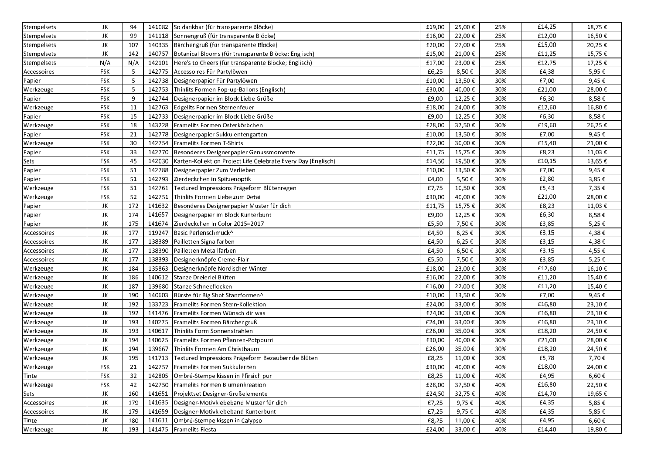| Stempelsets     | JK         | 94  | 141082 | So dankbar (für transparente Blöcke)                          | £19,00 | 25,00€  | 25% | £14,25 | 18,75€       |
|-----------------|------------|-----|--------|---------------------------------------------------------------|--------|---------|-----|--------|--------------|
| Stempelsets     | JK         | 99  | 141118 | Sonnengruß (für transparente Blöcke)                          | £16,00 | 22,00€  | 25% | £12,00 | 16,50€       |
| Stempelsets     | JK         | 107 | 140335 | Bärchengruß (für transparente Blöcke)                         | £20,00 | 27,00€  | 25% | £15,00 | 20,25€       |
| Stempelsets     | JK         | 142 | 140757 | Botanical Blooms (für transparente Blöcke; Englisch)          | £15,00 | 21,00€  | 25% | £11,25 | 15,75€       |
| Stempelsets     | N/A        | N/A | 142101 | Here's to Cheers (für transparente Blöcke; Englisch)          | £17,00 | 23,00€  | 25% | £12,75 | 17,25€       |
| Accessoires     | <b>FSK</b> | 5   | 142775 | Accessoires Für Partylöwen                                    | £6,25  | 8,50€   | 30% | £4,38  | 5,95€        |
| Papier          | <b>FSK</b> | 5   | 142738 | Designerpapier Für Partylöwen                                 | £10,00 | 13,50€  | 30% | £7,00  | 9,45€        |
| Werkzeuge       | FSK        | 5   | 142753 | Thinlits Formen Pop-up-Ballons (Englisch)                     | £30,00 | 40,00€  | 30% | £21,00 | 28,00€       |
| Papier          | <b>FSK</b> | 9   | 142744 | Designerpapier im Block Liebe Grüße                           | £9,00  | 12,25€  | 30% | £6,30  | 8,58€        |
| Werkzeuge       | <b>FSK</b> | 11  | 142763 | Edgelits Formen Sternenfeuer                                  | £18,00 | 24,00€  | 30% | £12,60 | 16,80€       |
| Papier          | <b>FSK</b> | 15  | 142733 | Designerpapier im Block Liebe Grüße                           | £9,00  | 12,25€  | 30% | £6,30  | 8,58€        |
| Werkzeuge       | <b>FSK</b> | 18  | 143228 | Framelits Formen Osterkörbchen                                | £28,00 | 37,50€  | 30% | £19,60 | 26,25€       |
| Papier          | <b>FSK</b> | 21  | 142778 | Designerpapier Sukkulentengarten                              | £10,00 | 13,50€  | 30% | £7,00  | 9,45€        |
| Werkzeuge       | <b>FSK</b> | 30  | 142754 | Framelits Formen T-Shirts                                     | £22,00 | 30,00€  | 30% | £15,40 | 21,00€       |
| Papier          | <b>FSK</b> | 33  | 142770 | Besonderes Designerpapier Genussmomente                       | £11,75 | 15,75€  | 30% | £8,23  | 11,03€       |
| Sets            | <b>FSK</b> | 45  | 142030 | Karten-Kollektion Project Life Celebrate Every Day (Englisch) | £14,50 | 19,50€  | 30% | £10,15 | 13,65€       |
| $\lceil$ Papier | <b>FSK</b> | 51  | 142788 | Designerpapier Zum Verlieben                                  | £10,00 | 13,50€  | 30% | £7,00  | 9,45€        |
| Papier          | <b>FSK</b> | 51  | 142793 | Zierdeckchen in Spitzenoptik                                  | £4,00  | 5,50€   | 30% | £2,80  | 3,85€        |
| Werkzeuge       | <b>FSK</b> | 51  | 142761 | Textured Impressions Prägeform Blütenregen                    | £7,75  | 10,50€  | 30% | £5,43  | 7,35€        |
| Werkzeuge       | <b>FSK</b> | 52  | 142751 | Thinlits Formen Liebe zum Detail                              | £30,00 | 40,00€  | 30% | £21,00 | 28,00€       |
| Papier          | JK         | 172 | 141632 | Besonderes Designerpapier Muster für dich                     | £11,75 | 15,75€  | 30% | £8,23  | 11,03€       |
| Papier          | JK         | 174 | 141657 | Designerpapier im Block Kunterbunt                            | £9,00  | 12,25€  | 30% | £6,30  | 8,58€        |
| Papier          | JK         | 175 | 141674 | Zierdeckchen In Color 2015-2017                               | £5,50  | 7,50€   | 30% | £3,85  | 5,25€        |
| Accessoires     | JK         | 177 | 119247 | Basic Perlenschmuck <sup>^</sup>                              | £4,50  | 6,25€   | 30% | £3,15  | 4,38€        |
| Accessoires     | JK         | 177 | 138389 | Pailletten Signalfarben                                       | £4,50  | 6,25€   | 30% | £3,15  | 4,38€        |
| Accessoires     | JK         | 177 | 138390 | Pailletten Metallfarben                                       | £4,50  | 6,50€   | 30% | £3,15  | 4,55€        |
| Accessoires     | JK         | 177 | 138393 | Designerknöpfe Creme-Flair                                    | £5,50  | 7,50€   | 30% | £3,85  | 5,25€        |
| Werkzeuge       | JK         | 184 | 135863 | Designerknöpfe Nordischer Winter                              | £18,00 | 23,00€  | 30% | £12,60 | 16,10€       |
| Werkzeuge       | JK         | 186 | 140612 | Stanze Dreierlei Blüten                                       | £16,00 | 22,00€  | 30% | £11,20 | 15,40€       |
| Werkzeuge       | JK         | 187 | 139680 | Stanze Schneeflocken                                          | £16,00 | 22,00€  | 30% | £11,20 | 15,40€       |
| Werkzeuge       | JK         | 190 | 140603 | Bürste für Big Shot Stanzformen^                              | £10,00 | 13,50€  | 30% | £7,00  | 9,45€        |
| Werkzeuge       | JK         | 192 | 133723 | Framelits Formen Stern-Kollektion                             | £24,00 | 33,00€  | 30% | £16,80 | 23,10€       |
| Werkzeuge       | JK         | 192 | 141476 | Framelits Formen Wünsch dir was                               | £24,00 | 33,00€  | 30% | £16,80 | 23,10€       |
| Werkzeuge       | JK         | 193 | 140275 | Framelits Formen Bärchengruß                                  | £24,00 | 33,00€  | 30% | £16,80 | 23,10€       |
| Werkzeuge       | JK         | 193 | 140617 | Thinlits Form Sonnenstrahlen                                  | £26,00 | 35,00€  | 30% | £18,20 | 24,50€       |
| Werkzeuge       | JK         | 194 | 140625 | Framelits Formen Pflanzen-Potpourri                           | £30,00 | 40,00€  | 30% | £21,00 | 28,00€       |
| Werkzeuge       | JK         | 194 | 139667 | Thinlits Formen Am Christbaum                                 | £26,00 | 35,00€  | 30% | £18,20 | 24,50€       |
| Werkzeuge       | JK         | 195 | 141713 | Textured Impressions Prägeform Bezaubernde Blüten             | £8,25  | 11,00€  | 30% | £5,78  | 7,70€        |
| Werkzeuge       | <b>FSK</b> | 21  | 142757 | Framelits Formen Sukkulenten                                  | £30,00 | 40,00€  | 40% | £18,00 | 24,00€       |
| Tinte           | <b>FSK</b> | 32  | 142805 | Ombré-Stempelkissen in Pfirsich pur                           | £8,25  | 11,00€  | 40% | £4,95  | $6{,}60 \in$ |
| Werkzeuge       | FSK        | 42  | 142750 | Framelits Formen Blumenkreation                               | £28,00 | 37,50€  | 40% | £16,80 | 22,50€       |
| Sets            | JK         | 160 | 141651 | Projektset Designer-Grußelemente                              | £24,50 | 32,75€  | 40% | £14,70 | 19,65€       |
| Accessoires     | JK         | 179 | 141635 | Designer-Motivklebeband Muster für dich                       | £7,25  | 9,75€   | 40% | £4,35  | 5,85€        |
| Accessoires     | JK         | 179 | 141659 | Designer-Motivklebeband Kunterbunt                            | £7,25  | 9,75€   | 40% | £4,35  | 5,85€        |
| Tinte           | JK         | 180 | 141611 | Ombré-Stempelkissen in Calypso                                | £8,25  | 11,00 € | 40% | £4,95  | 6,60€        |
| Werkzeuge       | JK         | 193 |        | 141475   Framelits Fiesta                                     | £24,00 | 33,00€  | 40% | £14,40 | 19,80€       |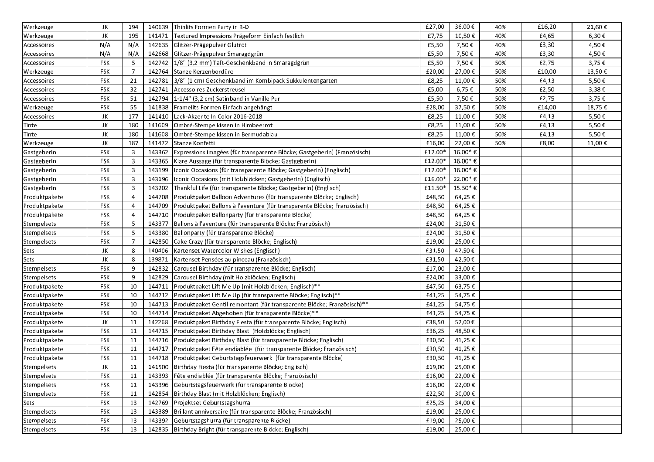| Werkzeuge     | JK         | 194            |        | 140639 Thinlits Formen Party in 3-D                                      | £27,00  | 36,00€  | 40% | £16,20 | 21,60€ |
|---------------|------------|----------------|--------|--------------------------------------------------------------------------|---------|---------|-----|--------|--------|
| Werkzeuge     | JK         | 195            | 141471 | Textured Impressions Prägeform Einfach festlich                          | £7,75   | 10,50€  | 40% | £4,65  | 6,30€  |
| Accessoires   | N/A        | N/A            | 142635 | Glitzer-Prägepulver Glutrot                                              | £5,50   | 7,50€   | 40% | £3,30  | 4,50€  |
| Accessoires   | N/A        | N/A            | 142668 | Glitzer-Prägepulver Smaragdgrün                                          | £5,50   | 7,50€   | 40% | £3,30  | 4,50€  |
| Accessoires   | <b>FSK</b> | 5              | 142742 | 1/8" (3,2 mm) Taft-Geschenkband in Smaragdgrün                           | £5,50   | 7,50€   | 50% | £2,75  | 3,75€  |
| Werkzeuge     | <b>FSK</b> | $\overline{7}$ | 142764 | Stanze Kerzenbordüre                                                     | £20,00  | 27,00€  | 50% | £10,00 | 13,50€ |
| Accessoires   | <b>FSK</b> | 21             | 142781 | 3/8" (1 cm) Geschenkband im Kombipack Sukkulentengarten                  | £8,25   | 11,00€  | 50% | £4,13  | 5,50€  |
| Accessoires   | <b>FSK</b> | 32             | 142741 | Accessoires Zuckerstreusel                                               | £5,00   | 6,75€   | 50% | £2,50  | 3,38€  |
| Accessoires   | <b>FSK</b> | 51             | 142794 | 1-1/4" (3,2 cm) Satinband in Vanille Pur                                 | £5,50   | 7,50€   | 50% | £2,75  | 3,75€  |
| Werkzeuge     | <b>FSK</b> | 55             | 141838 | Framelits Formen Einfach angehängt                                       | £28,00  | 37,50€  | 50% | £14,00 | 18,75€ |
| Accessoires   | JK         | 177            | 141410 | Lack-Akzente In Color 2016-2018                                          | £8,25   | 11,00€  | 50% | £4,13  | 5,50€  |
| Tinte         | JK         | 180            | 141609 | Ombré-Stempelkissen in Himbeerrot                                        | £8,25   | 11,00€  | 50% | £4,13  | 5,50€  |
| Tinte         | JK         | 180            | 141608 | Ombré-Stempelkissen in Bermudablau                                       | £8,25   | 11,00€  | 50% | £4,13  | 5,50€  |
| Werkzeuge     | JK         | 187            | 141472 | Stanze Konfetti                                                          | £16,00  | 22,00€  | 50% | £8,00  | 11,00€ |
| GastgeberIn   | <b>FSK</b> | 3              | 143362 | Expressions imagées (für transparente Blöcke; GastgeberIn) (Französisch) | £12.00* | 16.00*€ |     |        |        |
| GastgeberIn   | <b>FSK</b> | 3              | 143365 | Klare Aussage (für transparente Blöcke; GastgeberIn)                     | £12.00* | 16.00*€ |     |        |        |
| GastgeberIn   | <b>FSK</b> | 3              | 143199 | Iconic Occasions (für transparente Blöcke; GastgeberIn) (Englisch)       | £12.00* | 16.00*€ |     |        |        |
| GastgeberIn   | <b>FSK</b> | 3              | 143196 | Iconic Occasions (mit Holzblöcken; Gastgeberln) (Englisch)               | £16.00* | 22.00*€ |     |        |        |
| GastgeberIn   | <b>FSK</b> | 3              | 143202 | Thankful Life (für transparente Blöcke; Gastgeberln) (Englisch)          | £11.50* | 15.50*€ |     |        |        |
| Produktpakete | FSK        | 4              | 144708 | Produktpaket Balloon Adventures (für transparente Blöcke; Englisch)      | £48,50  | 64,25€  |     |        |        |
| Produktpakete | <b>FSK</b> |                | 144709 | Produktpaket Ballons à l'aventure (für transparente Blöcke; Französisch) | £48,50  | 64,25€  |     |        |        |
| Produktpakete | <b>FSK</b> | 4              | 144710 | Produktpaket Ballonparty (für transparente Blöcke)                       | £48,50  | 64,25€  |     |        |        |
| Stempelsets   | <b>FSK</b> | 5              | 143377 | Ballons à l'aventure (für transparente Blöcke; Französisch)              | £24,00  | 31,50€  |     |        |        |
| Stempelsets   | <b>FSK</b> | 5              | 143380 | Ballonparty (für transparente Blöcke)                                    | £24,00  | 31,50€  |     |        |        |
| Stempelsets   | FSK        | 7              | 142850 | Cake Crazy (für transparente Blöcke; Englisch)                           | £19,00  | 25,00 € |     |        |        |
| Sets          | JK         | 8              | 140406 | Kartenset Watercolor Wishes (Englisch)                                   | £31,50  | 42,50€  |     |        |        |
| Sets          | JK         | 8              | 139871 | Kartenset Pensées au pinceau (Französisch)                               | £31,50  | 42,50€  |     |        |        |
| Stempelsets   | <b>FSK</b> | 9              | 142832 | Carousel Birthday (für transparente Blöcke; Englisch)                    | £17,00  | 23,00€  |     |        |        |
| Stempelsets   | <b>FSK</b> | 9              | 142829 | Carousel Birthday (mit Holzblöcken; Englisch)                            | £24,00  | 33,00€  |     |        |        |
| Produktpakete | FSK        | 10             | 144711 | Produktpaket Lift Me Up (mit Holzblöcken; Englisch)**                    | £47,50  | 63,75€  |     |        |        |
| Produktpakete | <b>FSK</b> | 10             | 144712 | Produktpaket Lift Me Up (für transparente Blöcke; Englisch)**            | £41,25  | 54,75€  |     |        |        |
| Produktpakete | <b>FSK</b> | 10             | 144713 | Produktpaket Gentil remontant (für transparente Blöcke; Französisch)**   | £41,25  | 54,75€  |     |        |        |
| Produktpakete | <b>FSK</b> | 10             | 144714 | Produktpaket Abgehoben (für transparente Blöcke)**                       | £41,25  | 54,75€  |     |        |        |
| Produktpakete | JK         | 11             | 142268 | Produktpaket Birthday Fiesta (für transparente Blöcke; Englisch)         | £38,50  | 52,00€  |     |        |        |
| Produktpakete | <b>FSK</b> | 11             | 144715 | Produktpaket Birthday Blast (Holzblöcke; Englisch)                       | £36,25  | 48,50€  |     |        |        |
| Produktpakete | <b>FSK</b> | 11             | 144716 | Produktpaket Birthday Blast (für transparente Blöcke; Englisch)          | £30,50  | 41,25€  |     |        |        |
| Produktpakete | FSK        | 11             | 144717 | Produktpaket Fête endiablée (für transparente Blöcke; Französisch)       | £30,50  | 41,25€  |     |        |        |
| Produktpakete | <b>FSK</b> | 11             |        | 144718   Produktpaket Geburtstagsfeuerwerk (für transparente Blöcke)     | £30,50  | 41,25€  |     |        |        |
| Stempelsets   | JK         | 11             |        | 141500   Birthday Fiesta (für transparente Blöcke; Englisch)             | £19,00  | 25,00 € |     |        |        |
| Stempelsets   | FSK        | 11             |        | 143393 Fête endiablée (für transparente Blöcke; Französisch)             | £16,00  | 22,00€  |     |        |        |
| Stempelsets   | <b>FSK</b> | 11             | 143396 | Geburtstagsfeuerwerk (für transparente Blöcke)                           | £16,00  | 22,00€  |     |        |        |
| Stempelsets   | FSK        | 11             | 142854 | Birthday Blast (mit Holzblöcken; Englisch)                               | £22,50  | 30,00€  |     |        |        |
| Sets          | FSK        | 13             | 142769 | Projektset Geburtstagshurra                                              | £25,25  | 34,00€  |     |        |        |
| Stempelsets   | <b>FSK</b> | 13             | 143389 | Brillant anniversaire (für transparente Blöcke; Französisch)             | £19,00  | 25,00€  |     |        |        |
| Stempelsets   | <b>FSK</b> | 13             | 143392 | Geburtstagshurra (für transparente Blöcke)                               | £19,00  | 25,00€  |     |        |        |
| Stempelsets   | FSK        | 13             | 142835 | Birthday Bright (für transparente Blöcke; Englisch)                      | £19,00  | 25,00 € |     |        |        |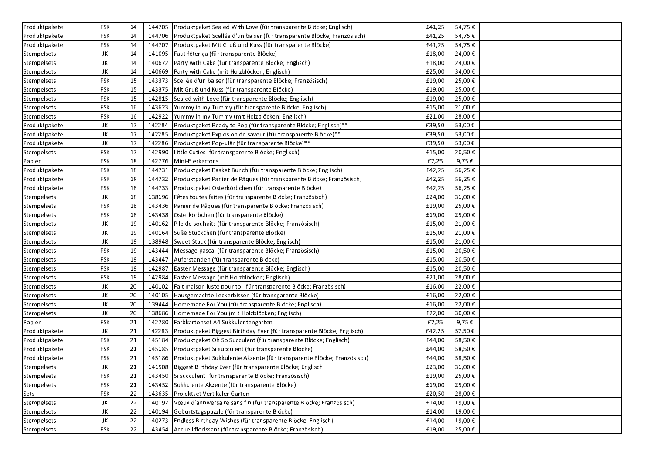| Produktpakete | <b>FSK</b> | 14 |        | 144705   Produktpaket Sealed With Love (für transparente Blöcke; Englisch)      | £41,25 | 54,75€ |  |  |
|---------------|------------|----|--------|---------------------------------------------------------------------------------|--------|--------|--|--|
| Produktpakete | <b>FSK</b> | 14 |        | 144706 Produktpaket Scellée d'un baiser (für transparente Blöcke; Französisch)  | £41,25 | 54,75€ |  |  |
| Produktpakete | <b>FSK</b> | 14 |        | 144707 Produktpaket Mit Gruß und Kuss (für transparente Blöcke)                 | £41,25 | 54,75€ |  |  |
| Stempelsets   | JK         | 14 |        | 141095   Faut fêter ça (für transparente Blöcke)                                | £18,00 | 24,00€ |  |  |
| Stempelsets   | JK         | 14 |        | 140672 Party with Cake (für transparente Blöcke; Englisch)                      | £18,00 | 24,00€ |  |  |
| Stempelsets   | JK         | 14 |        | 140669   Party with Cake (mit Holzblöcken; Englisch)                            | £25,00 | 34,00€ |  |  |
| Stempelsets   | <b>FSK</b> | 15 |        | 143373 Scellée d'un baiser (für transparente Blöcke; Französisch)               | £19,00 | 25,00€ |  |  |
| Stempelsets   | <b>FSK</b> | 15 |        | 143375   Mit Gruß und Kuss (für transparente Blöcke)                            | £19,00 | 25,00€ |  |  |
| Stempelsets   | <b>FSK</b> | 15 | 142815 | Sealed with Love (für transparente Blöcke; Englisch)                            | £19,00 | 25,00€ |  |  |
| Stempelsets   | <b>FSK</b> | 16 | 143623 | Yummy in my Tummy (für transparente Blöcke; Englisch)                           | £15,00 | 21,00€ |  |  |
| Stempelsets   | <b>FSK</b> | 16 | 142922 | Yummy in my Tummy (mit Holzblöcken; Englisch)                                   | £21,00 | 28,00€ |  |  |
| Produktpakete | JK         | 17 | 142284 | Produktpaket Ready to Pop (für transparente Blöcke; Englisch)**                 | £39,50 | 53,00€ |  |  |
| Produktpakete | JK         | 17 | 142285 | Produktpaket Explosion de saveur (für transparente Blöcke)**                    | £39,50 | 53,00€ |  |  |
| Produktpakete | JK         | 17 | 142286 | Produktpaket Pop-ulär (für transparente Blöcke)**                               | £39,50 | 53,00€ |  |  |
| Stempelsets   | <b>FSK</b> | 17 | 142990 | Little Cuties (für transparente Blöcke; Englisch)                               | £15,00 | 20,50€ |  |  |
| Papier        | <b>FSK</b> | 18 | 142776 | Mini-Eierkartons                                                                | £7,25  | 9,75€  |  |  |
| Produktpakete | <b>FSK</b> | 18 | 144731 | Produktpaket Basket Bunch (für transparente Blöcke; Englisch)                   | £42,25 | 56,25€ |  |  |
| Produktpakete | <b>FSK</b> | 18 | 144732 | Produktpaket Panier de Pâques (für transparente Blöcke; Französisch)            | £42,25 | 56,25€ |  |  |
| Produktpakete | <b>FSK</b> | 18 |        | 144733 Produktpaket Osterkörbchen (für transparente Blöcke)                     | £42,25 | 56,25€ |  |  |
| Stempelsets   | JK         | 18 |        | 138196   Fêtes toutes faites (für transparente Blöcke; Französisch)             | £24,00 | 31,00€ |  |  |
| Stempelsets   | <b>FSK</b> | 18 |        | 143436 Panier de Pâques (für transparente Blöcke; Französisch)                  | £19,00 | 25,00€ |  |  |
| Stempelsets   | <b>FSK</b> | 18 |        | 143438 Osterkörbchen (für transparente Blöcke)                                  | £19,00 | 25,00€ |  |  |
| Stempelsets   | JK         | 19 | 140162 | Pile de souhaits (für transparente Blöcke; Französisch)                         | £15,00 | 21,00€ |  |  |
| Stempelsets   | JK         | 19 | 140164 | Süße Stückchen (für transparente Blöcke)                                        | £15,00 | 21,00€ |  |  |
| Stempelsets   | JK         | 19 |        | 138948 Sweet Stack (für transparente Blöcke; Englisch)                          | £15,00 | 21,00€ |  |  |
| Stempelsets   | <b>FSK</b> | 19 |        | 143444   Message pascal (für transparente Blöcke; Französisch)                  | £15,00 | 20,50€ |  |  |
| Stempelsets   | <b>FSK</b> | 19 | 143447 | Auferstanden (für transparente Blöcke)                                          | £15,00 | 20,50€ |  |  |
| Stempelsets   | <b>FSK</b> | 19 | 142987 | Easter Message (für transparente Blöcke; Englisch)                              | £15,00 | 20,50€ |  |  |
| Stempelsets   | <b>FSK</b> | 19 | 142984 | Easter Message (mit Holzblöcken; Englisch)                                      | £21,00 | 28,00€ |  |  |
| Stempelsets   | JK         | 20 | 140102 | Fait maison juste pour toi (für transparente Blöcke; Französisch)               | £16,00 | 22,00€ |  |  |
| Stempelsets   | JK         | 20 | 140105 | Hausgemachte Leckerbissen (für transparente Blöcke)                             | £16,00 | 22,00€ |  |  |
| Stempelsets   | JK         | 20 | 139444 | Homemade For You (für transparente Blöcke; Englisch)                            | £16,00 | 22,00€ |  |  |
| Stempelsets   | JK         | 20 | 138686 | Homemade For You (mit Holzblöcken; Englisch)                                    | £22,00 | 30,00€ |  |  |
| Papier        | <b>FSK</b> | 21 | 142780 | Farbkartonset A4 Sukkulentengarten                                              | £7,25  | 9,75€  |  |  |
| Produktpakete | JK         | 21 | 142283 | Produktpaket Biggest Birthday Ever (für transparente Blöcke; Englisch)          | £42,25 | 57,50€ |  |  |
| Produktpakete | <b>FSK</b> | 21 | 145184 | Produktpaket Oh So Succulent (für transparente Blöcke; Englisch)                | £44,00 | 58,50€ |  |  |
| Produktpakete | <b>FSK</b> | 21 |        | 145185 Produktpaket Si succulent (für transparente Blöcke)                      | £44,00 | 58,50€ |  |  |
| Produktpakete | <b>FSK</b> | 21 |        | 145186   Produktpaket Sukkulente Akzente (für transparente Blöcke; Französisch) | £44,00 | 58,50€ |  |  |
| Stempelsets   | JK         | 21 |        | 141508 Biggest Birthday Ever (für transparente Blöcke; Englisch)                | £23,00 | 31,00€ |  |  |
| Stempelsets   | <b>FSK</b> | 21 |        | 143450 Si succulent (für transparente Blöcke; Französisch)                      | £19,00 | 25,00€ |  |  |
| Stempelsets   | FSK        | 21 |        | 143452 Sukkulente Akzente (für transparente Blöcke)                             | £19,00 | 25,00€ |  |  |
| Sets          | <b>FSK</b> | 22 |        | 143635 Projektset Vertikaler Garten                                             | £20,50 | 28,00€ |  |  |
| Stempelsets   | JK         | 22 | 140192 | Vœux d'anniversaire sans fin (für transparente Blöcke; Französisch)             | £14,00 | 19,00€ |  |  |
| Stempelsets   | JK         | 22 | 140194 | Geburtstagspuzzle (für transparente Blöcke)                                     | £14,00 | 19,00€ |  |  |
| Stempelsets   | JK         | 22 |        | 140273 Endless Birthday Wishes (für transparente Blöcke; Englisch)              | £14,00 | 19,00€ |  |  |
| Stempelsets   | <b>FSK</b> | 22 | 143454 | Accueil florissant (für transparente Blöcke; Französisch)                       | £19,00 | 25,00€ |  |  |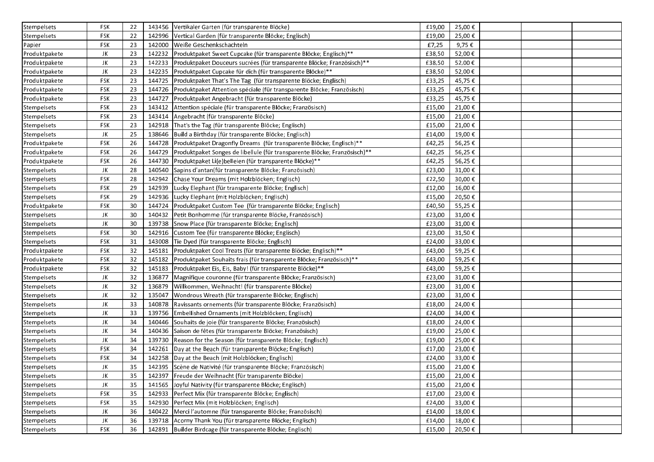| Stempelsets   | <b>FSK</b> | 22 |        | 143456 Vertikaler Garten (für transparente Blöcke)                               | £19,00 | 25,00€  |  |
|---------------|------------|----|--------|----------------------------------------------------------------------------------|--------|---------|--|
| Stempelsets   | <b>FSK</b> | 22 |        | 142996 Vertical Garden (für transparente Blöcke; Englisch)                       | £19,00 | 25,00€  |  |
| Papier        | <b>FSK</b> | 23 |        | 142000 Weiße Geschenkschachteln                                                  | £7,25  | 9,75€   |  |
| Produktpakete | JK         | 23 |        | 142232 Produktpaket Sweet Cupcake (für transparente Blöcke; Englisch)**          | £38,50 | 52,00€  |  |
| Produktpakete | JK         | 23 |        | 142233 Produktpaket Douceurs sucrées (für transparente Blöcke; Französisch)**    | £38,50 | 52,00€  |  |
| Produktpakete | JK         | 23 |        | 142235 Produktpaket Cupcake für dich (für transparente Blöcke)**                 | £38,50 | 52,00€  |  |
| Produktpakete | <b>FSK</b> | 23 |        | 144725 Produktpaket That's The Tag (für transparente Blöcke; Englisch)           | £33,25 | 45,75€  |  |
| Produktpakete | <b>FSK</b> | 23 |        | 144726 Produktpaket Attention spéciale (für transparente Blöcke; Französisch)    | £33,25 | 45,75€  |  |
| Produktpakete | <b>FSK</b> | 23 | 144727 | Produktpaket Angebracht (für transparente Blöcke)                                | £33,25 | 45,75€  |  |
| Stempelsets   | FSK        | 23 | 143412 | Attention spéciale (für transparente Blöcke; Französisch)                        | £15,00 | 21,00€  |  |
| Stempelsets   | <b>FSK</b> | 23 | 143414 | Angebracht (für transparente Blöcke)                                             | £15,00 | 21,00€  |  |
| Stempelsets   | <b>FSK</b> | 23 |        | 142918   That's the Tag (für transparente Blöcke; Englisch)                      | £15,00 | 21,00€  |  |
| Stempelsets   | JK         | 25 |        | 138646   Build a Birthday (für transparente Blöcke; Englisch)                    | £14,00 | 19,00€  |  |
| Produktpakete | <b>FSK</b> | 26 |        | 144728 Produktpaket Dragonfly Dreams (für transparente Blöcke; Englisch)**       | £42,25 | 56,25€  |  |
| Produktpakete | <b>FSK</b> | 26 |        | 144729 Produktpaket Songes de libellule (für transparente Blöcke; Französisch)** | £42,25 | 56,25€  |  |
| Produktpakete | <b>FSK</b> | 26 |        | 144730 Produktpaket Li(e)belleien (für transparente Blöcke)**                    | £42,25 | 56,25€  |  |
| Stempelsets   | JK         | 28 | 140540 | Sapins d'antan (für transparente Blöcke; Französisch)                            | £23,00 | 31,00€  |  |
| Stempelsets   | <b>FSK</b> | 28 | 142942 | Chase Your Dreams (mit Holzblöcken; Englisch)                                    | £22,50 | 30,00€  |  |
| Stempelsets   | <b>FSK</b> | 29 |        | 142939 Lucky Elephant (für transparente Blöcke; Englisch)                        | £12,00 | 16,00€  |  |
| Stempelsets   | <b>FSK</b> | 29 |        | 142936 Lucky Elephant (mit Holzblöcken; Englisch)                                | £15,00 | 20,50€  |  |
| Produktpakete | <b>FSK</b> | 30 |        | 144724 Produktpaket Custom Tee (für transparente Blöcke; Englisch)               | £40,50 | 55,25€  |  |
| Stempelsets   | JK         | 30 |        | 140432 Petit Bonhomme (für transparente Blöcke, Französisch)                     | £23,00 | 31,00€  |  |
| Stempelsets   | JK         | 30 |        | 139738 Snow Place (für transparente Blöcke; Englisch)                            | £23,00 | 31,00€  |  |
| Stempelsets   | <b>FSK</b> | 30 |        | 142916 Custom Tee (für transparente Blöcke; Englisch)                            | £23,00 | 31,50€  |  |
| Stempelsets   | <b>FSK</b> | 31 |        | 143008   Tie Dyed (für transparente Blöcke; Englisch)                            | £24,00 | 33,00€  |  |
| Produktpakete | FSK        | 32 | 145181 | Produktpaket Cool Treats (für transparente Blöcke; Englisch)**                   | £43,00 | 59,25€  |  |
| Produktpakete | <b>FSK</b> | 32 |        | 145182   Produktpaket Souhaits frais (für transparente Blöcke; Französisch)**    | £43,00 | 59,25€  |  |
| Produktpakete | <b>FSK</b> | 32 |        | 145183   Produktpaket Eis, Eis, Baby! (für transparente Blöcke)**                | £43,00 | 59,25€  |  |
| Stempelsets   | JK         | 32 |        | 136877 Magnifique couronne (für transparente Blöcke; Französisch)                | £23,00 | 31,00€  |  |
| Stempelsets   | JK         | 32 | 136879 | Willkommen, Weihnacht! (für transparente Blöcke)                                 | £23,00 | 31,00€  |  |
| Stempelsets   | JK         | 32 | 135047 | Wondrous Wreath (für transparente Blöcke; Englisch)                              | £23,00 | 31,00€  |  |
| Stempelsets   | JK         | 33 |        | 140878   Ravissants ornements (für transparente Blöcke; Französisch)             | £18,00 | 24,00€  |  |
| Stempelsets   | JK         | 33 |        | 139756 Embellished Ornaments (mit Holzblöcken; Englisch)                         | £24,00 | 34,00€  |  |
| Stempelsets   | JK         | 34 |        | 140446 Souhaits de joie (für transparente Blöcke; Französisch)                   | £18,00 | 24,00€  |  |
| Stempelsets   | JK         | 34 |        | 140436 Saison de fêtes (für transparente Blöcke; Französisch)                    | £19,00 | 25,00€  |  |
| Stempelsets   | JK         | 34 |        | 139730 Reason for the Season (für transparente Blöcke; Englisch)                 | £19,00 | 25,00€  |  |
| Stempelsets   | <b>FSK</b> | 34 | 142261 | Day at the Beach (für transparente Blöcke; Englisch)                             | £17,00 | 23,00€  |  |
| Stempelsets   | <b>FSK</b> | 34 |        | 142258 Day at the Beach (mit Holzblöcken; Englisch)                              | £24,00 | 33,00€  |  |
| Stempelsets   | JK         | 35 |        | 142395 Scène de Nativité (für transparente Blöcke; Französisch)                  | £15,00 | 21,00 € |  |
| Stempelsets   | JK         | 35 |        | 142397   Freude der Weihnacht (für transparente Blöcke)                          | £15,00 | 21,00€  |  |
| Stempelsets   | JK         | 35 |        | 141565 Joyful Nativity (für transparente Blöcke; Englisch)                       | £15,00 | 21,00€  |  |
| Stempelsets   | <b>FSK</b> | 35 |        | 142933 Perfect Mix (für transparente Blöcke; Englisch)                           | £17,00 | 23,00€  |  |
| Stempelsets   | <b>FSK</b> | 35 |        | 142930 Perfect Mix (mit Holzblöcken; Englisch)                                   | £24,00 | 33,00€  |  |
| Stempelsets   | JK         | 36 |        | 140422 Merci l'automne (für transparente Blöcke; Französisch)                    | £14,00 | 18,00€  |  |
| Stempelsets   | JK         | 36 |        | 139718 Acorny Thank You (für transparente Blöcke; Englisch)                      | £14,00 | 18,00€  |  |
| Stempelsets   | <b>FSK</b> | 36 |        | 142891 Builder Birdcage (für transparente Blöcke; Englisch)                      | £15,00 | 20,50€  |  |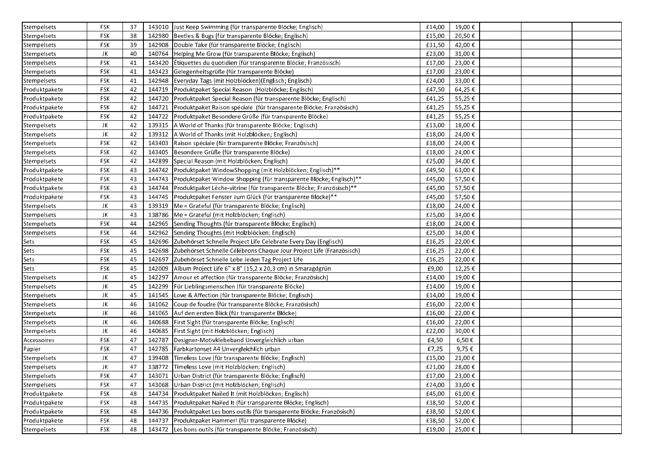| Stempelsets   | <b>FSK</b> | 37 |        | 143010 Just Keep Swimming (für transparente Blöcke; Englisch)              | £14,00 | 19,00€  |  |  |
|---------------|------------|----|--------|----------------------------------------------------------------------------|--------|---------|--|--|
| Stempelsets   | <b>FSK</b> | 38 |        | 142980   Beetles & Bugs (für transparente Blöcke; Englisch)                | £15,00 | 20,50€  |  |  |
| Stempelsets   | FSK        | 39 |        | 142908 Double Take (für transparente Blöcke; Englisch)                     | £31,50 | 42,00€  |  |  |
| Stempelsets   | JK         | 40 |        | 140764 Helping Me Grow (für transparente Blöcke; Englisch)                 | £23,00 | 31,00€  |  |  |
| Stempelsets   | <b>FSK</b> | 41 |        | 143420   Étiquettes du quotidien (für transparente Blöcke; Französisch)    | £17,00 | 23,00€  |  |  |
| Stempelsets   | <b>FSK</b> | 41 |        | 143423 Gelegenheitsgrüße (für transparente Blöcke)                         | £17,00 | 23,00€  |  |  |
| Stempelsets   | <b>FSK</b> | 41 |        | 142948   Everyday Tags (mit Holzblöcken) (Englisch; Englisch)              | £24,00 | 33,00€  |  |  |
| Produktpakete | <b>FSK</b> | 42 |        | 144719 Produktpaket Special Reason (Holzblöcke; Englisch)                  | £47,50 | 64,25€  |  |  |
| Produktpakete | <b>FSK</b> | 42 |        | 144720 Produktpaket Special Reason (für transparente Blöcke; Englisch)     | £41,25 | 55,25€  |  |  |
| Produktpakete | <b>FSK</b> | 42 | 144721 | Produktpaket Raison spéciale (für transparente Blöcke; Französisch)        | £41,25 | 55,25€  |  |  |
| Produktpakete | <b>FSK</b> | 42 | 144722 | Produktpaket Besondere Grüße (für transparente Blöcke)                     | £41,25 | 55,25€  |  |  |
| Stempelsets   | JK         | 42 | 139315 | A World of Thanks (für transparente Blöcke; Englisch)                      | £13,00 | 18,00€  |  |  |
| Stempelsets   | JK         | 42 | 139312 | A World of Thanks (mit Holzblöcken; Englisch)                              | £18,00 | 24,00€  |  |  |
| Stempelsets   | <b>FSK</b> | 42 | 143403 | Raison spéciale (für transparente Blöcke; Französisch)                     | £18,00 | 24,00€  |  |  |
| Stempelsets   | <b>FSK</b> | 42 |        | 143405 Besondere Grüße (für transparente Blöcke)                           | £18,00 | 24,00€  |  |  |
| Stempelsets   | <b>FSK</b> | 42 | 142899 | Special Reason (mit Holzblöcken; Englisch)                                 | £25,00 | 34,00€  |  |  |
| Produktpakete | <b>FSK</b> | 43 |        | 144742   Produktpaket WindowShopping (mit Holzblöcken; Englisch)**         | £49,50 | 63,00€  |  |  |
| Produktpakete | <b>FSK</b> | 43 |        | 144743 Produktpaket Window Shopping (für transparente Blöcke; Englisch)**  | £45,00 | 57,50€  |  |  |
| Produktpakete | <b>FSK</b> | 43 | 144744 | Produktpaket Lèche-vitrine (für transparente Blöcke; Französisch)**        | £45,00 | 57,50€  |  |  |
| Produktpakete | <b>FSK</b> | 43 |        | 144745   Produktpaket Fenster zum Glück (für transparente Blöcke)**        | £45,00 | 57,50€  |  |  |
| Stempelsets   | JK         | 43 |        | 139319   Me = Grateful (für transparente Blöcke; Englisch)                 | £18,00 | 24,00€  |  |  |
| Stempelsets   | JK         | 43 |        | 138786   Me = Grateful (mit Holzblöcken; Englisch)                         | £25,00 | 34,00€  |  |  |
| Stempelsets   | <b>FSK</b> | 44 | 142965 | Sending Thoughts (für transparente Blöcke; Englisch)                       | £18,00 | 24,00€  |  |  |
| Stempelsets   | <b>FSK</b> | 44 | 142962 | Sending Thoughts (mit Holzblöcken; Englisch)                               | £25,00 | 34,00€  |  |  |
| Sets          | <b>FSK</b> | 45 | 142696 | Zubehörset Schnelle Project Life Celebrate Every Day (Englisch)            | £16,25 | 22,00€  |  |  |
| Sets          | <b>FSK</b> | 45 | 142698 | Zubehörset Schnelle Célébrons Chaque Jour Project Life (Französisch)       | £16,25 | 22,00€  |  |  |
| Sets          | <b>FSK</b> | 45 | 142697 | Zubehörset Schnelle Lebe Jeden Tag Project Life                            | £16,25 | 22,00€  |  |  |
| Sets          | <b>FSK</b> | 45 | 142009 | Album Project Life 6" x 8" (15,2 x 20,3 cm) in Smaragdgrün                 | £9,00  | 12,25€  |  |  |
| Stempelsets   | JK         | 45 | 142297 | Amour et affection (für transparente Blöcke; Französisch)                  | £14,00 | 19,00€  |  |  |
| Stempelsets   | JK         | 45 | 142299 | Für Lieblingsmenschen (für transparente Blöcke)                            | £14,00 | 19,00€  |  |  |
| Stempelsets   | JK         | 45 |        | 141545   Love & Affection (für transparente Blöcke; Englisch)              | £14,00 | 19,00€  |  |  |
| Stempelsets   | JK         | 46 | 141062 | Coup de foudre (für transparente Blöcke; Französisch)                      | £16,00 | 22,00€  |  |  |
| Stempelsets   | JK         | 46 |        | 141065 Auf den ersten Blick (für transparente Blöcke)                      | £16,00 | 22,00€  |  |  |
| Stempelsets   | JK         | 46 | 140688 | First Sight (für transparente Blöcke; Englisch)                            | £16,00 | 22,00€  |  |  |
| Stempelsets   | JK         | 46 | 140685 | First Sight (mit Holzblöcken; Englisch)                                    | £22,00 | 30,00€  |  |  |
| Accessoires   | <b>FSK</b> | 47 | 142787 | Designer-Motivklebeband Unvergleichlich urban                              | £4,50  | 6,50€   |  |  |
| Papier        | <b>FSK</b> | 47 | 142785 | Farbkartonset A4 Unvergleichlich urban                                     | £7,25  | 9,75€   |  |  |
| Stempelsets   | JK         | 47 | 139408 | Timeless Love (für transparente Blöcke; Englisch)                          | £15,00 | 21,00€  |  |  |
| Stempelsets   | JK         | 47 |        | 138772 Timeless Love (mit Holzblöcken; Englisch)                           | £21,00 | 28,00 € |  |  |
| Stempelsets   | <b>FSK</b> | 47 | 143071 | Urban District (für transparente Blöcke; Englisch)                         | £17,00 | 23,00€  |  |  |
| Stempelsets   | FSK        | 47 | 143068 | Urban District (mit Holzblöcken; Englisch)                                 | £24,00 | 33,00€  |  |  |
| Produktpakete | <b>FSK</b> | 48 | 144734 | Produktpaket Nailed It (mit Holzblöcken; Englisch)                         | £45,00 | 61,00€  |  |  |
| Produktpakete | <b>FSK</b> | 48 |        | 144735 Produktpaket Nailed It (für transparente Blöcke; Englisch)          | £38,50 | 52,00€  |  |  |
| Produktpakete | <b>FSK</b> | 48 |        | 144736 Produktpaket Les bons outils (für transparente Blöcke; Französisch) | £38,50 | 52,00€  |  |  |
| Produktpakete | FSK        | 48 | 144737 | Produktpaket Hammer! (für transparente Blöcke)                             | £38,50 | 52,00€  |  |  |
| Stempelsets   | FSK        | 48 |        | 143472 Les bons outils (für transparente Blöcke; Französisch)              | £19,00 | 25,00€  |  |  |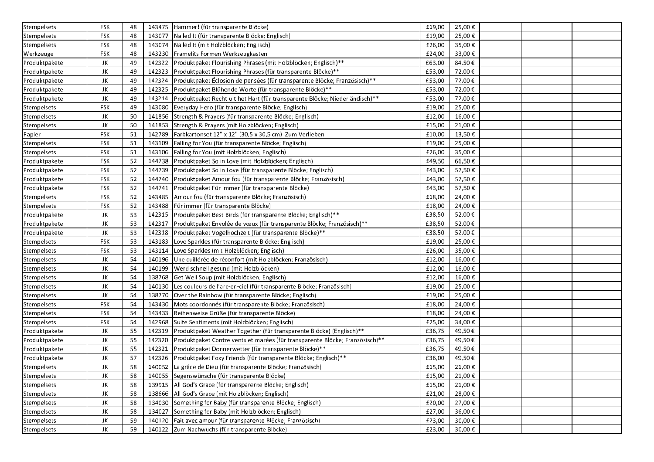| Stempelsets   | <b>FSK</b> | 48 |        | 143475   Hammer! (für transparente Blöcke)                                   | £19,00 | 25,00€ |
|---------------|------------|----|--------|------------------------------------------------------------------------------|--------|--------|
| Stempelsets   | <b>FSK</b> | 48 |        | 143077 Nailed It (für transparente Blöcke; Englisch)                         | £19,00 | 25,00€ |
| Stempelsets   | <b>FSK</b> | 48 |        | 143074 Nailed It (mit Holzblöcken; Englisch)                                 | £26,00 | 35,00€ |
| Werkzeuge     | <b>FSK</b> | 48 |        | 143230 Framelits Formen Werkzeugkasten                                       | £24,00 | 33,00€ |
| Produktpakete | JK         | 49 | 142322 | Produktpaket Flourishing Phrases (mit Holzblöcken; Englisch)**               | £63,00 | 84,50€ |
| Produktpakete | JK         | 49 | 142323 | Produktpaket Flourishing Phrases (für transparente Blöcke)**                 | £53,00 | 72,00€ |
| Produktpakete | JK         | 49 | 142324 | Produktpaket Éclosion de pensées (für transparente Blöcke; Französisch)**    | £53,00 | 72,00€ |
| Produktpakete | JK         | 49 | 142325 | Produktpaket Blühende Worte (für transparente Blöcke)**                      | £53,00 | 72,00€ |
| Produktpakete | JK         | 49 | 143214 | Produktpaket Recht uit het Hart (für transparente Blöcke; Niederländisch)**  | £53,00 | 72,00€ |
| Stempelsets   | <b>FSK</b> | 49 | 143080 | (Everyday Hero (für transparente Blöcke; Englisch)                           | £19,00 | 25,00€ |
| Stempelsets   | JK         | 50 |        | 141856 Strength & Prayers (für transparente Blöcke; Englisch)                | £12,00 | 16,00€ |
| Stempelsets   | JK         | 50 |        | 141853 Strength & Prayers (mit Holzblöcken; Englisch)                        | £15,00 | 21,00€ |
| Papier        | <b>FSK</b> | 51 | 142789 | Farbkartonset 12" x 12" (30,5 x 30,5 cm) Zum Verlieben                       | £10,00 | 13,50€ |
| Stempelsets   | <b>FSK</b> | 51 | 143109 | Falling for You (für transparente Blöcke; Englisch)                          | £19,00 | 25,00€ |
| Stempelsets   | <b>FSK</b> | 51 |        | 143106   Falling for You (mit Holzblöcken; Englisch)                         | £26,00 | 35,00€ |
| Produktpakete | <b>FSK</b> | 52 |        | 144738   Produktpaket So in Love (mit Holzblöcken; Englisch)                 | £49,50 | 66,50€ |
| Produktpakete | <b>FSK</b> | 52 |        | 144739   Produktpaket So in Love (für transparente Blöcke; Englisch)         | £43,00 | 57,50€ |
| Produktpakete | <b>FSK</b> | 52 |        | 144740 Produktpaket Amour fou (für transparente Blöcke; Französisch)         | £43,00 | 57,50€ |
| Produktpakete | <b>FSK</b> | 52 | 144741 | Produktpaket Für immer (für transparente Blöcke)                             | £43,00 | 57,50€ |
| Stempelsets   | <b>FSK</b> | 52 |        | 143485 Amour fou (für transparente Blöcke; Französisch)                      | £18,00 | 24,00€ |
| Stempelsets   | <b>FSK</b> | 52 |        | 143488   Für immer (für transparente Blöcke)                                 | £18,00 | 24,00€ |
| Produktpakete | JK         | 53 | 142315 | Produktpaket Best Birds (für transparente Blöcke; Englisch)**                | £38,50 | 52,00€ |
| Produktpakete | JK         | 53 | 142317 | Produktpaket Envolée de vœux (für transparente Blöcke; Französisch)**        | £38,50 | 52,00€ |
| Produktpakete | JK         | 53 |        | 142318   Produktpaket Vogelhochzeit (für transparente Blöcke)**              | £38,50 | 52,00€ |
| Stempelsets   | <b>FSK</b> | 53 |        | 143183   Love Sparkles (für transparente Blöcke; Englisch)                   | £19,00 | 25,00€ |
| Stempelsets   | <b>FSK</b> | 53 |        | 143114   Love Sparkles (mit Holzblöcken; Englisch)                           | £26,00 | 35,00€ |
| Stempelsets   | JK         | 54 |        | 140196 Une cuillérée de réconfort (mit Holzblöcken; Französisch)             | £12,00 | 16,00€ |
| Stempelsets   | JK         | 54 |        | 140199   Werd schnell gesund (mit Holzblöcken)                               | £12,00 | 16,00€ |
| Stempelsets   | JK         | 54 |        | 138768 Get Well Soup (mit Holzblöcken; Englisch)                             | £12,00 | 16,00€ |
| Stempelsets   | JK         | 54 | 140130 | Les couleurs de l'arc-en-ciel (für transparente Blöcke; Französisch)         | £19,00 | 25,00€ |
| Stempelsets   | JK         | 54 |        | 138770 Over the Rainbow (für transparente Blöcke; Englisch)                  | £19,00 | 25,00€ |
| Stempelsets   | <b>FSK</b> | 54 |        | 143430 Mots coordonnés (für transparente Blöcke; Französisch)                | £18,00 | 24,00€ |
| Stempelsets   | <b>FSK</b> | 54 |        | 143433 Reihenweise Grüße (für transparente Blöcke)                           | £18,00 | 24,00€ |
| Stempelsets   | <b>FSK</b> | 54 |        | 142968   Suite Sentiments (mit Holzblöcken; Englisch)                        | £25,00 | 34,00€ |
| Produktpakete | JK         | 55 | 142319 | Produktpaket Weather Together (für transparente Blöcke) (Englisch)**         | £36,75 | 49,50€ |
| Produktpakete | JK         | 55 | 142320 | Produktpaket Contre vents et marées (für transparente Blöcke; Französisch)** | £36,75 | 49,50€ |
| Produktpakete | JK         | 55 | 142321 | Produktpaket Donnerwetter (für transparente Blöcke)**                        | £36,75 | 49,50€ |
| Produktpakete | JK         | 57 |        | 142326   Produktpaket Foxy Friends (für transparente Blöcke; Englisch)**     | £36,00 | 49,50€ |
| Stempelsets   | JK         | 58 |        | 140052 La grâce de Dieu (für transparente Blöcke: Französisch)               | £15,00 | 21,00€ |
| Stempelsets   | JK         | 58 |        | 140055 Segenswünsche (für transparente Blöcke)                               | £15,00 | 21,00€ |
| Stempelsets   | JK         | 58 |        | 139915   All God's Grace (für transparente Blöcke; Englisch)                 | £15,00 | 21,00€ |
| Stempelsets   | JK         | 58 |        | 138666   All God's Grace (mit Holzblöcken; Englisch)                         | £21,00 | 28,00€ |
| Stempelsets   | JK         | 58 |        | 134030 Something for Baby (für transparente Blöcke; Englisch)                | £20,00 | 27,00€ |
| Stempelsets   | JK         | 58 | 134027 | Something for Baby (mit Holzblöcken; Englisch)                               | £27,00 | 36,00€ |
| Stempelsets   | JK         | 59 | 140120 | Fait avec amour (für transparente Blöcke; Französisch)                       | £23,00 | 30,00€ |
| Stempelsets   | JK         | 59 |        | 140122 Zum Nachwuchs (für transparente Blöcke)                               | £23,00 | 30,00€ |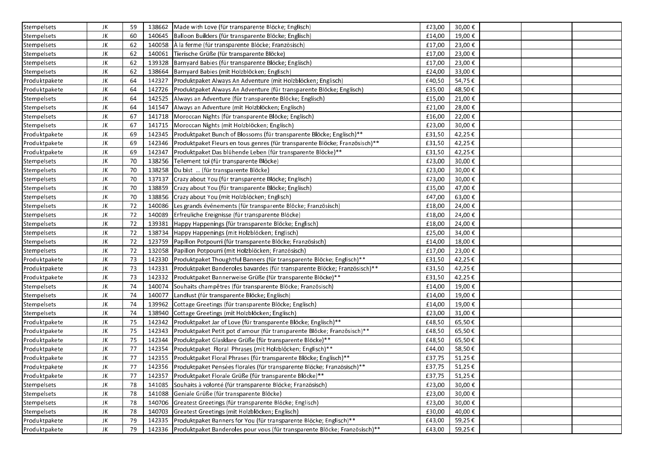| Stempelsets   | JK | 59 |        | 138662 Made with Love (für transparente Blöcke; Englisch)                          | £23,00 | 30,00€ |
|---------------|----|----|--------|------------------------------------------------------------------------------------|--------|--------|
| Stempelsets   | JK | 60 |        | 140645   Balloon Builders (für transparente Blöcke; Englisch)                      | £14,00 | 19,00€ |
| Stempelsets   | JK | 62 |        | 140058   À la ferme (für transparente Blöcke; Französisch)                         | £17,00 | 23,00€ |
| Stempelsets   | JK | 62 | 140061 | Tierische Grüße (für transparente Blöcke)                                          | £17,00 | 23,00€ |
| Stempelsets   | JK | 62 |        | 139328   Barnyard Babies (für transparente Blöcke; Englisch)                       | £17,00 | 23,00€ |
| Stempelsets   | JK | 62 |        | 138664   Barnyard Babies (mit Holzblöcken; Englisch)                               | £24,00 | 33,00€ |
| Produktpakete | JK | 64 | 142327 | Produktpaket Always An Adventure (mit Holzblöcken; Englisch)                       | £40,50 | 54,75€ |
| Produktpakete | JK | 64 | 142726 | Produktpaket Always An Adventure (für transparente Blöcke; Englisch)               | £35,00 | 48,50€ |
| Stempelsets   | JK | 64 | 142525 | Always an Adventure (für transparente Blöcke; Englisch)                            | £15,00 | 21,00€ |
| Stempelsets   | JK | 64 | 141547 | Always an Adventure (mit Holzblöcken; Englisch)                                    | £21,00 | 28,00€ |
| Stempelsets   | JK | 67 | 141718 | Moroccan Nights (für transparente Blöcke; Englisch)                                | £16,00 | 22,00€ |
| Stempelsets   | JK | 67 | 141715 | Moroccan Nights (mit Holzblöcken; Englisch)                                        | £23,00 | 30,00€ |
| Produktpakete | JK | 69 | 142345 | Produktpaket Bunch of Blossoms (für transparente Blöcke; Englisch)**               | £31,50 | 42,25€ |
| Produktpakete | JK | 69 | 142346 | Produktpaket Fleurs en tous genres (für transparente Blöcke; Französisch)**        | £31,50 | 42,25€ |
| Produktpakete | JK | 69 | 142347 | Produktpaket Das blühende Leben (für transparente Blöcke)**                        | £31,50 | 42,25€ |
| Stempelsets   | JK | 70 |        | 138256 Tellement toi (für transparente Blöcke)                                     | £23,00 | 30,00€ |
| Stempelsets   | JK | 70 |        | 138258  Du bist  (für transparente Blöcke)                                         | £23,00 | 30,00€ |
| Stempelsets   | JK | 70 | 137137 | (Crazy about You (für transparente Blöcke; Englisch)                               | £23,00 | 30,00€ |
| Stempelsets   | JK | 70 | 138859 | Crazy about You (für transparente Blöcke; Englisch)                                | £35,00 | 47,00€ |
| Stempelsets   | JK | 70 |        | 138856   Crazy about You (mit Holzblöcken; Englisch)                               | £47,00 | 63,00€ |
| Stempelsets   | JK | 72 |        | 140086 Les grands événements (für transparente Blöcke; Französisch)                | £18,00 | 24,00€ |
| Stempelsets   | JK | 72 |        | 140089   Erfreuliche Ereignisse (für transparente Blöcke)                          | £18,00 | 24,00€ |
| Stempelsets   | JK | 72 | 139381 | Happy Happenings (für transparente Blöcke; Englisch)                               | £18,00 | 24,00€ |
| Stempelsets   | JK | 72 |        | 138734 Happy Happenings (mit Holzblöcken; Englisch)                                | £25,00 | 34,00€ |
| Stempelsets   | JK | 72 |        | 123759 Papillon Potpourri (für transparente Blöcke; Französisch)                   | £14,00 | 18,00€ |
| Stempelsets   | JK | 72 |        | 132058 Papillon Potpourri (mit Holzblöcken; Französisch)                           | £17,00 | 23,00€ |
| Produktpakete | JK | 73 |        | 142330 Produktpaket Thoughtful Banners (für transparente Blöcke; Englisch)**       | £31,50 | 42,25€ |
| Produktpakete | JK | 73 |        | 142331   Produktpaket Banderoles bavardes (für transparente Blöcke; Französisch)** | £31,50 | 42,25€ |
| Produktpakete | JK | 73 | 142332 | Produktpaket Bannerweise Grüße (für transparente Blöcke)**                         | £31,50 | 42,25€ |
| Stempelsets   | JK | 74 | 140074 | Souhaits champêtres (für transparente Blöcke; Französisch)                         | £14,00 | 19,00€ |
| Stempelsets   | JK | 74 | 140077 | Landlust (für transparente Blöcke; Englisch)                                       | £14,00 | 19,00€ |
| Stempelsets   | JK | 74 | 139962 | Cottage Greetings (für transparente Blöcke; Englisch)                              | £14,00 | 19,00€ |
| Stempelsets   | JK | 74 | 138940 | Cottage Greetings (mit Holzblöcken; Englisch)                                      | £23,00 | 31,00€ |
| Produktpakete | JK | 75 | 142342 | Produktpaket Jar of Love (für transparente Blöcke; Englisch)**                     | £48,50 | 65,50€ |
| Produktpakete | JK | 75 | 142343 | Produktpaket Petit pot d'amour (für transparente Blöcke; Französisch)**            | £48,50 | 65,50€ |
| Produktpakete | JK | 75 | 142344 | Produktpaket Glasklare Grüße (für transparente Blöcke)**                           | £48,50 | 65,50€ |
| Produktpakete | JK | 77 | 142354 | Produktpaket Floral Phrases (mit Holzblöcken; Englisch)**                          | £44,00 | 58,50€ |
| Produktpakete | JK | 77 |        | 142355 Produktpaket Floral Phrases (für transparente Blöcke; Englisch)**           | £37,75 | 51,25€ |
| Produktpakete | JK | 77 |        | 142356   Produktpaket Pensées florales (für transparente Blöcke; Französisch)**    | £37,75 | 51,25€ |
| Produktpakete | JK | 77 | 142357 | Produktpaket Florale Grüße (für transparente Blöcke)**                             | £37,75 | 51,25€ |
| Stempelsets   | JK | 78 | 141085 | Souhaits à volonté (für transparente Blöcke; Französisch)                          | £23,00 | 30,00€ |
| Stempelsets   | JK | 78 | 141088 | Geniale Grüße (für transparente Blöcke)                                            | £23,00 | 30,00€ |
| Stempelsets   | JK | 78 | 140706 | Greatest Greetings (für transparente Blöcke; Englisch)                             | £23,00 | 30,00€ |
| Stempelsets   | JK | 78 | 140703 | Greatest Greetings (mit Holzblöcken; Englisch)                                     | £30,00 | 40,00€ |
| Produktpakete | JK | 79 | 142335 | Produktpaket Banners for You (für transparente Blöcke; Englisch)**                 | £43,00 | 59,25€ |
| Produktpakete | JK | 79 |        | 142336 Produktpaket Banderoles pour vous (für transparente Blöcke; Französisch)**  | £43,00 | 59,25€ |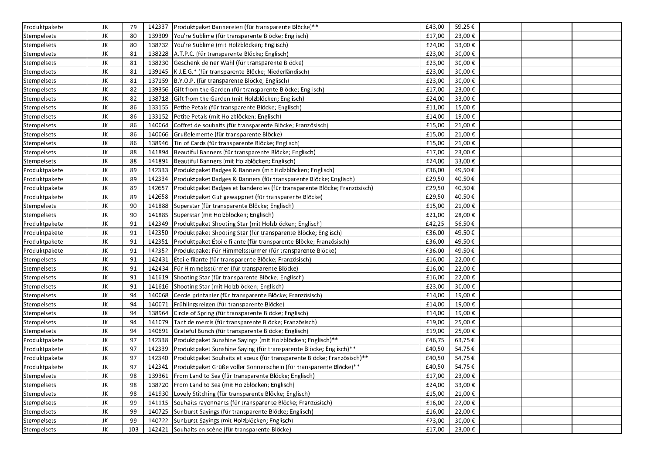| Produktpakete | JK | 79  |        | 142337   Produktpaket Bannereien (für transparente Blöcke)**                | £43,00 | 59,25€ |  |  |
|---------------|----|-----|--------|-----------------------------------------------------------------------------|--------|--------|--|--|
| Stempelsets   | JK | 80  |        | 139309 You're Sublime (für transparente Blöcke; Englisch)                   | £17,00 | 23,00€ |  |  |
| Stempelsets   | JK | 80  |        | 138732 You're Sublime (mit Holzblöcken; Englisch)                           | £24,00 | 33,00€ |  |  |
| Stempelsets   | JK | 81  |        | 138228 A.T.P.C. (für transparente Blöcke; Englisch)                         | £23,00 | 30,00€ |  |  |
| Stempelsets   | JK | 81  |        | 138230 Geschenk deiner Wahl (für transparente Blöcke)                       | £23,00 | 30,00€ |  |  |
| Stempelsets   | JK | 81  |        | 139145   K.J.E.G.* (für transparente Blöcke; Niederländisch)                | £23,00 | 30,00€ |  |  |
| Stempelsets   | JK | 81  |        | 137159 B.Y.O.P. (für transparente Blöcke; Englisch)                         | £23,00 | 30,00€ |  |  |
| Stempelsets   | JK | 82  | 139356 | Gift from the Garden (für transparente Blöcke; Englisch)                    | £17,00 | 23,00€ |  |  |
| Stempelsets   | JK | 82  | 138718 | Gift from the Garden (mit Holzblöcken; Englisch)                            | £24,00 | 33,00€ |  |  |
| Stempelsets   | JK | 86  | 133155 | Petite Petals (für transparente Blöcke; Englisch)                           | £11,00 | 15,00€ |  |  |
| Stempelsets   | JK | 86  | 133152 | Petite Petals (mit Holzblöcken; Englisch)                                   | £14,00 | 19,00€ |  |  |
| Stempelsets   | JK | 86  | 140064 | Coffret de souhaits (für transparente Blöcke; Französisch)                  | £15,00 | 21,00€ |  |  |
| Stempelsets   | JK | 86  | 140066 | Grußelemente (für transparente Blöcke)                                      | £15,00 | 21,00€ |  |  |
| Stempelsets   | JK | 86  | 138946 | Tin of Cards (für transparente Blöcke; Englisch)                            | £15,00 | 21,00€ |  |  |
| Stempelsets   | JK | 88  | 141894 | Beautiful Banners (für transparente Blöcke; Englisch)                       | £17,00 | 23,00€ |  |  |
| Stempelsets   | JK | 88  | 141891 | Beautiful Banners (mit Holzblöcken; Englisch)                               | £24,00 | 33,00€ |  |  |
| Produktpakete | JK | 89  | 142333 | Produktpaket Badges & Banners (mit Holzblöcken; Englisch)                   | £36,00 | 49,50€ |  |  |
| Produktpakete | JK | 89  | 142334 | Produktpaket Badges & Banners (für transparente Blöcke; Englisch)           | £29,50 | 40,50€ |  |  |
| Produktpakete | JK | 89  | 142657 | Produktpaket Badges et banderoles (für transparente Blöcke; Französisch)    | £29,50 | 40,50€ |  |  |
| Produktpakete | JK | 89  | 142658 | Produktpaket Gut gewappnet (für transparente Blöcke)                        | £29,50 | 40,50€ |  |  |
| Stempelsets   | JK | 90  | 141888 | Superstar (für transparente Blöcke; Englisch)                               | £15,00 | 21,00€ |  |  |
| Stempelsets   | JK | 90  | 141885 | Superstar (mit Holzblöcken; Englisch)                                       | £21,00 | 28,00€ |  |  |
| Produktpakete | JK | 91  | 142349 | Produktpaket Shooting Star (mit Holzblöcken; Englisch)                      | £42,25 | 56,50€ |  |  |
| Produktpakete | JK | 91  | 142350 | Produktpaket Shooting Star (für transparente Blöcke; Englisch)              | £36,00 | 49,50€ |  |  |
| Produktpakete | JK | 91  | 142351 | Produktpaket Étoile filante (für transparente Blöcke; Französisch)          | £36,00 | 49,50€ |  |  |
| Produktpakete | JK | 91  | 142352 | Produktpaket Für Himmelsstürmer (für transparente Blöcke)                   | £36,00 | 49,50€ |  |  |
| Stempelsets   | JK | 91  | 142431 | Etoile filante (für transparente Blöcke; Französisch)                       | £16,00 | 22,00€ |  |  |
| Stempelsets   | JK | 91  | 142434 | Für Himmelsstürmer (für transparente Blöcke)                                | £16,00 | 22,00€ |  |  |
| Stempelsets   | JK | 91  | 141619 | Shooting Star (für transparente Blöcke; Englisch)                           | £16,00 | 22,00€ |  |  |
| Stempelsets   | JK | 91  |        | 141616 Shooting Star (mit Holzblöcken; Englisch)                            | £23,00 | 30,00€ |  |  |
| Stempelsets   | JK | 94  | 140068 | Cercle printanier (für transparente Blöcke; Französisch)                    | £14,00 | 19,00€ |  |  |
| Stempelsets   | JK | 94  | 140071 | Frühlingsreigen (für transparente Blöcke)                                   | £14,00 | 19,00€ |  |  |
| Stempelsets   | JK | 94  | 138964 | Circle of Spring (für transparente Blöcke; Englisch)                        | £14,00 | 19,00€ |  |  |
| Stempelsets   | JK | 94  | 141079 | Tant de mercis (für transparente Blöcke; Französisch)                       | £19,00 | 25,00€ |  |  |
| Stempelsets   | JK | 94  | 140691 | Grateful Bunch (für transparente Blöcke; Englisch)                          | £19,00 | 25,00€ |  |  |
| Produktpakete | JK | 97  | 142338 | Produktpaket Sunshine Sayings (mit Holzblöcken; Englisch)**                 | £46,75 | 63,75€ |  |  |
| Produktpakete | JK | 97  | 142339 | Produktpaket Sunshine Saying (für transparente Blöcke; Englisch)**          | £40,50 | 54,75€ |  |  |
| Produktpakete | JK | 97  | 142340 | Produktpaket Souhaits et vœux (für transparente Blöcke; Französisch)**      | £40,50 | 54,75€ |  |  |
| Produktpakete | JK | 97  |        | 142341   Produktpaket Grüße voller Sonnenschein (für transparente Blöcke)** | £40,50 | 54,75€ |  |  |
| Stempelsets   | JK | 98  | 139361 | From Land to Sea (für transparente Blöcke; Englisch)                        | £17,00 | 23,00€ |  |  |
| Stempelsets   | JK | 98  |        | 138720 From Land to Sea (mit Holzblöcken; Englisch)                         | £24,00 | 33,00€ |  |  |
| Stempelsets   | JK | 98  |        | 141930 Lovely Stitching (für transparente Blöcke; Englisch)                 | £15,00 | 21,00€ |  |  |
| Stempelsets   | JK | 99  |        | 141115 Souhaits rayonnants (für transparente Blöcke; Französisch)           | £16,00 | 22,00€ |  |  |
| Stempelsets   | JK | 99  | 140725 | Sunburst Sayings (für transparente Blöcke; Englisch)                        | £16,00 | 22,00€ |  |  |
| Stempelsets   | JK | 99  | 140722 | Sunburst Sayings (mit Holzblöcken; Englisch)                                | £23,00 | 30,00€ |  |  |
| Stempelsets   | JK | 103 | 142421 | Souhaits en scène (für transparente Blöcke)                                 | £17,00 | 23,00€ |  |  |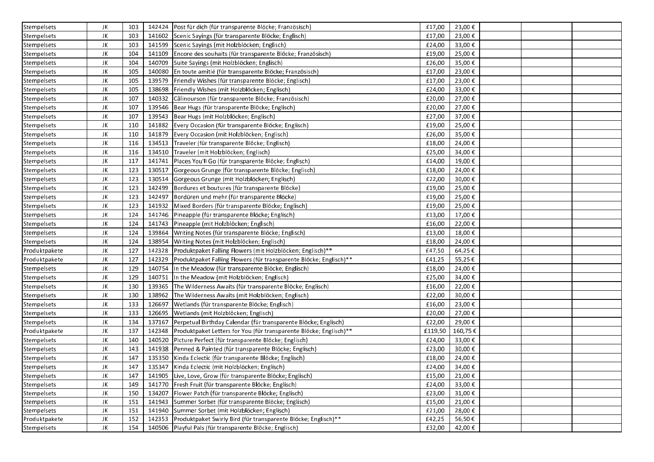| Stempelsets   | JK | 103 |        | 142424 Post für dich (für transparente Blöcke; Französisch)        | £17,00  | 23,00€  |  |  |
|---------------|----|-----|--------|--------------------------------------------------------------------|---------|---------|--|--|
| Stempelsets   | JK | 103 |        | 141602 Scenic Sayings (für transparente Blöcke; Englisch)          | £17,00  | 23,00€  |  |  |
| Stempelsets   | JK | 103 |        | 141599 Scenic Sayings (mit Holzblöcken; Englisch)                  | £24,00  | 33,00€  |  |  |
| Stempelsets   | JK | 104 | 141109 | Encore des souhaits (für transparente Blöcke; Französisch)         | £19,00  | 25,00€  |  |  |
| Stempelsets   | JK | 104 | 140709 | Suite Sayings (mit Holzblöcken; Englisch)                          | £26,00  | 35,00€  |  |  |
| Stempelsets   | JK | 105 | 140080 | En toute amitié (für transparente Blöcke; Französisch)             | £17,00  | 23,00€  |  |  |
| Stempelsets   | JK | 105 | 139579 | Friendly Wishes (für transparente Blöcke; Englisch)                | £17,00  | 23,00€  |  |  |
| Stempelsets   | JK | 105 | 138698 | Friendly Wishes (mit Holzblöcken; Englisch)                        | £24,00  | 33,00€  |  |  |
| Stempelsets   | JK | 107 | 140332 | Câlinourson (für transparente Blöcke; Französisch)                 | £20,00  | 27,00€  |  |  |
| Stempelsets   | JK | 107 | 139546 | Bear Hugs (für transparente Blöcke; Englisch)                      | £20,00  | 27,00€  |  |  |
| Stempelsets   | JK | 107 | 139543 | Bear Hugs (mit Holzblöcken; Englisch)                              | £27,00  | 37,00€  |  |  |
| Stempelsets   | JK | 110 | 141882 | Every Occasion (für transparente Blöcke; Englisch)                 | £19,00  | 25,00€  |  |  |
| Stempelsets   | JK | 110 | 141879 | Every Occasion (mit Holzblöcken; Englisch)                         | £26,00  | 35,00€  |  |  |
| Stempelsets   | JK | 116 | 134513 | Traveler (für transparente Blöcke; Englisch)                       | £18,00  | 24,00€  |  |  |
| Stempelsets   | JK | 116 |        | 134510 Traveler (mit Holzblöcken; Englisch)                        | £25,00  | 34,00€  |  |  |
| Stempelsets   | JK | 117 | 141741 | Places You'll Go (für transparente Blöcke; Englisch)               | £14,00  | 19,00€  |  |  |
| Stempelsets   | JK | 123 | 130517 | Gorgeous Grunge (für transparente Blöcke; Englisch)                | £18,00  | 24,00€  |  |  |
| Stempelsets   | JK | 123 | 130514 | Gorgeous Grunge (mit Holzblöcken; Englisch)                        | £22,00  | 30,00€  |  |  |
| Stempelsets   | JK | 123 | 142499 | Bordures et boutures (für transparente Blöcke)                     | £19,00  | 25,00€  |  |  |
| Stempelsets   | JK | 123 | 142497 | Bordüren und mehr (für transparente Blöcke)                        | £19,00  | 25,00€  |  |  |
| Stempelsets   | JK | 123 | 141932 | Mixed Borders (für transparente Blöcke; Englisch)                  | £19,00  | 25,00€  |  |  |
| Stempelsets   | JK | 124 | 141746 | Pineapple (für transparente Blöcke; Englisch)                      | £13,00  | 17,00€  |  |  |
| Stempelsets   | JK | 124 | 141743 | Pineapple (mit Holzblöcken; Englisch)                              | £16,00  | 22,00€  |  |  |
| Stempelsets   | JK | 124 | 139864 | Writing Notes (für transparente Blöcke; Englisch)                  | £13,00  | 18,00€  |  |  |
| Stempelsets   | JK | 124 | 138954 | Writing Notes (mit Holzblöcken; Englisch)                          | £18,00  | 24,00€  |  |  |
| Produktpakete | JK | 127 | 142328 | Produktpaket Falling Flowers (mit Holzblöcken; Englisch)**         | £47,50  | 64,25€  |  |  |
| Produktpakete | JK | 127 | 142329 | Produktpaket Falling Flowers (für transparente Blöcke; Englisch)** | £41,25  | 55,25€  |  |  |
| Stempelsets   | JK | 129 | 140754 | In the Meadow (für transparente Blöcke; Englisch)                  | £18,00  | 24,00€  |  |  |
| Stempelsets   | JK | 129 | 140751 | In the Meadow (mit Holzblöcken; Englisch)                          | £25,00  | 34,00€  |  |  |
| Stempelsets   | JK | 130 |        | 139365 The Wilderness Awaits (für transparente Blöcke; Englisch)   | £16,00  | 22,00€  |  |  |
| Stempelsets   | JK | 130 | 138962 | The Wilderness Awaits (mit Holzblöcken; Englisch)                  | £22,00  | 30,00€  |  |  |
| Stempelsets   | JK | 133 | 126697 | Wetlands (für transparente Blöcke; Englisch)                       | £16,00  | 23,00€  |  |  |
| Stempelsets   | JK | 133 | 126695 | Wetlands (mit Holzblöcken; Englisch)                               | £20,00  | 27,00€  |  |  |
| Stempelsets   | JK | 134 | 137167 | Perpetual Birthday Calendar (für transparente Blöcke; Englisch)    | £22,00  | 29,00€  |  |  |
| Produktpakete | JK | 137 | 142348 | Produktpaket Letters for You (für transparente Blöcke; Englisch)** | £119,50 | 160,75€ |  |  |
| Stempelsets   | JK | 140 | 140520 | Picture Perfect (für transparente Blöcke; Englisch)                | £24,00  | 33,00€  |  |  |
| Stempelsets   | JK | 143 | 141938 | Penned & Painted (für transparente Blöcke; Englisch)               | £23,00  | 30,00€  |  |  |
| Stempelsets   | JK | 147 | 135350 | Kinda Eclectic (für transparente Blöcke; Englisch)                 | £18,00  | 24,00€  |  |  |
| Stempelsets   | JK | 147 | 135347 | Kinda Eclectic (mit Holzblöcken: Englisch)                         | £24,00  | 34,00€  |  |  |
| Stempelsets   | JK | 147 |        | 141905 Live, Love, Grow (für transparente Blöcke; Englisch)        | £15,00  | 21,00€  |  |  |
| Stempelsets   | JK | 149 |        | 141770 Fresh Fruit (für transparente Blöcke; Englisch)             | £24,00  | 33,00€  |  |  |
| Stempelsets   | JK | 150 | 134207 | Flower Patch (für transparente Blöcke; Englisch)                   | £23,00  | 31,00€  |  |  |
| Stempelsets   | JK | 151 |        | 141943 Summer Sorbet (für transparente Blöcke; Englisch)           | £15,00  | 21,00€  |  |  |
| Stempelsets   | JK | 151 |        | 141940 Summer Sorbet (mit Holzblöcken; Englisch)                   | £21,00  | 28,00€  |  |  |
| Produktpakete | JK | 152 | 142353 | Produktpaket Swirly Bird (für transparente Blöcke; Englisch)**     | £42,25  | 56,50€  |  |  |
| Stempelsets   | JK | 154 |        | 140506 Playful Pals (für transparente Blöcke; Englisch)            | £32,00  | 42,00€  |  |  |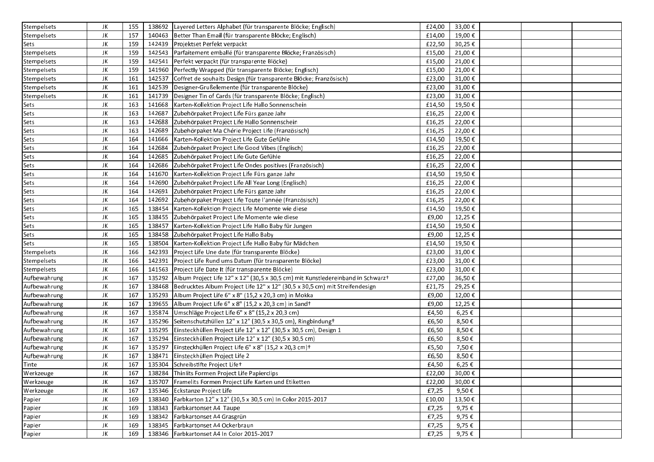| Stempelsets  | JK  | 155 |        | 138692 Layered Letters Alphabet (für transparente Blöcke; Englisch)                    | £24,00 | 33,00€     |  |  |
|--------------|-----|-----|--------|----------------------------------------------------------------------------------------|--------|------------|--|--|
| Stempelsets  | JK  | 157 |        | 140463   Better Than Email (für transparente Blöcke; Englisch)                         | £14,00 | 19,00€     |  |  |
| Sets         | JK  | 159 |        | 142439 Projektset Perfekt verpackt                                                     | £22,50 | 30,25€     |  |  |
| Stempelsets  | JK  | 159 |        | 142543 Parfaitement emballé (für transparente Blöcke; Französisch)                     | £15,00 | 21,00€     |  |  |
| Stempelsets  | JK  | 159 | 142541 | Perfekt verpackt (für transparente Blöcke)                                             | £15,00 | 21,00€     |  |  |
| Stempelsets  | JK. | 159 | 141960 | Perfectly Wrapped (für transparente Blöcke; Englisch)                                  | £15,00 | 21,00€     |  |  |
| Stempelsets  | JK  | 161 | 142537 | Coffret de souhaits Design (für transparente Blöcke; Französisch)                      | £23,00 | 31,00€     |  |  |
| Stempelsets  | JK  | 161 |        | 142539 Designer-Grußelemente (für transparente Blöcke)                                 | £23,00 | 31,00€     |  |  |
| Stempelsets  | JK  | 161 |        | 141739 Designer Tin of Cards (für transparente Blöcke; Englisch)                       | £23,00 | 31,00€     |  |  |
| Sets         | JK  | 163 |        | 141668   Karten-Kollektion Project Life Hallo Sonnenschein                             | £14,50 | 19,50€     |  |  |
| Sets         | JK. | 163 | 142687 | Zubehörpaket Project Life Fürs ganze Jahr                                              | £16,25 | 22,00€     |  |  |
| Sets         | JK  | 163 |        | 142688 Zubehörpaket Project Life Hallo Sonnenschein                                    | £16,25 | 22,00€     |  |  |
| Sets         | JK. | 163 |        | 142689 Zubehörpaket Ma Chérie Project Life (Französisch)                               | £16,25 | 22,00€     |  |  |
| Sets         | JK  | 164 |        | 141666   Karten-Kollektion Project Life Gute Gefühle                                   | £14,50 | 19,50€     |  |  |
| Sets         | JK  | 164 |        | 142684 Zubehörpaket Project Life Good Vibes (Englisch)                                 | £16,25 | 22,00€     |  |  |
| Sets         | JK  | 164 |        | 142685 Zubehörpaket Project Life Gute Gefühle                                          | £16,25 | 22,00€     |  |  |
| Sets         | JK  | 164 |        | 142686 Zubehörpaket Project Life Ondes positives (Französisch)                         | £16,25 | 22,00€     |  |  |
| Sets         | JK  | 164 | 141670 | Karten-Kollektion Project Life Fürs ganze Jahr                                         | £14,50 | 19,50€     |  |  |
| Sets         | JK  | 164 | 142690 | Zubehörpaket Project Life All Year Long (Englisch)                                     | £16,25 | 22,00€     |  |  |
| Sets         | JK. | 164 | 142691 | Zubehörpaket Project Life Fürs ganze Jahr                                              | £16,25 | 22,00€     |  |  |
| Sets         | JK  | 164 | 142692 | Zubehörpaket Project Life Toute l'année (Französisch)                                  | £16,25 | 22,00€     |  |  |
| Sets         | JK  | 165 | 138454 | Karten-Kollektion Project Life Momente wie diese                                       | £14,50 | 19,50€     |  |  |
| Sets         | JK  | 165 |        | 138455 Zubehörpaket Project Life Momente wie diese                                     | £9,00  | 12,25€     |  |  |
| Sets         | JK  | 165 | 138457 | Karten-Kollektion Project Life Hallo Baby für Jungen                                   | £14,50 | 19,50€     |  |  |
| Sets         | JK  | 165 |        | 138458 Zubehörpaket Project Life Hallo Baby                                            | £9,00  | 12,25€     |  |  |
| Sets         | JK  | 165 |        | 138504   Karten-Kollektion Project Life Hallo Baby für Mädchen                         | £14,50 | 19,50€     |  |  |
| Stempelsets  | JK. | 166 |        | 142393 Project Life Une date (für transparente Blöcke)                                 | £23,00 | 31,00€     |  |  |
| Stempelsets  | JK  | 166 |        | 142391 Project Life Rund ums Datum (für transparente Blöcke)                           | £23,00 | 31,00€     |  |  |
| Stempelsets  | JK. | 166 |        | 141563 Project Life Date It (für transparente Blöcke)                                  | £23,00 | 31,00€     |  |  |
| Aufbewahrung | JK  | 167 |        | 135292 Album Project Life 12" x 12" (30,5 x 30,5 cm) mit Kunstledereinband in Schwarzt | £27,00 | 36,50€     |  |  |
| Aufbewahrung | JK. | 167 |        | 138468   Bedrucktes Album Project Life 12" x 12" (30,5 x 30,5 cm) mit Streifendesign   | £21,75 | 29,25€     |  |  |
| Aufbewahrung | JK  | 167 |        | 135293 Album Project Life 6" x 8" (15,2 x 20,3 cm) in Mokka                            | £9,00  | 12,00€     |  |  |
| Aufbewahrung | JK  | 167 |        | 139655 Album Project Life 6" x 8" (15,2 x 20,3 cm) in Sandt                            | £9,00  | 12,25€     |  |  |
| Aufbewahrung | JK  | 167 | 135874 | Umschläge Project Life 6" x 8" (15,2 x 20,3 cm)                                        | £4,50  | $6,25 \in$ |  |  |
| Aufbewahrung | JK. | 167 |        | 135296 Seitenschutzhüllen 12" x 12" (30,5 x 30,5 cm), Ringbindungt                     | £6,50  | 8,50€      |  |  |
| Aufbewahrung | JK  | 167 | 135295 | Einsteckhüllen Project Life 12" x 12" (30,5 x 30,5 cm), Design 1                       | £6,50  | 8,50€      |  |  |
| Aufbewahrung | JK  | 167 | 135294 | Einsteckhüllen Project Life 12" x 12" (30,5 x 30,5 cm)                                 | £6,50  | 8,50€      |  |  |
| Aufbewahrung | JK  | 167 | 135297 | Einsteckhüllen Project Life 6" x 8" (15,2 x 20,3 cm)+                                  | £5,50  | 7,50€      |  |  |
| Aufbewahrung | JK. | 167 | 138471 | Einsteckhüllen Project Life 2                                                          | £6,50  | 8,50€      |  |  |
| Tinte        | JK  | 167 |        | 135304 Schreibstifte Project Lifet                                                     | £4.50  | 6,25€      |  |  |
| Werkzeuge    | JK  | 167 |        | 138284 Thinlits Formen Project Life Papierclips                                        | £22,00 | 30,00€     |  |  |
| Werkzeuge    | JK  | 167 |        | 135707   Framelits Formen Project Life Karten und Etiketten                            | £22,00 | 30,00€     |  |  |
| Werkzeuge    | JK  | 167 |        | 135346 Eckstanze Project Life                                                          | £7,25  | 9,50€      |  |  |
| Papier       | JK  | 169 |        | 138340 Farbkarton 12" x 12" (30,5 x 30,5 cm) In Color 2015-2017                        | £10,00 | 13,50€     |  |  |
| Papier       | JK  | 169 |        | 138343 Farbkartonset A4 Taupe                                                          | £7,25  | 9,75€      |  |  |
| Papier       | JK. | 169 |        | 138342 Farbkartonset A4 Grasgrün                                                       | £7,25  | 9,75€      |  |  |
|              | JK  | 169 |        | 138345 Farbkartonset A4 Ockerbraun                                                     | £7,25  | 9,75€      |  |  |
| Papier       |     |     |        |                                                                                        |        |            |  |  |
| Papier       | JK  | 169 |        | 138346   Farbkartonset A4 In Color 2015-2017                                           | £7,25  | 9,75€      |  |  |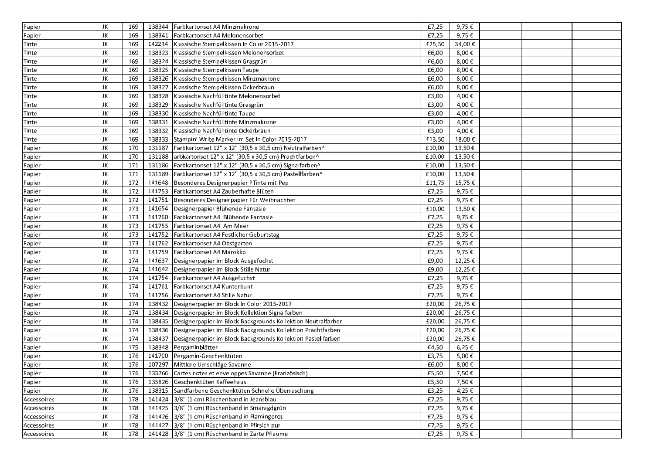| Papier       | JK | 169 |        | 138344 Farbkartonset A4 Minzmakrone                                   | £7,25  | 9,75€       |  |  |
|--------------|----|-----|--------|-----------------------------------------------------------------------|--------|-------------|--|--|
| Papier       | JK | 169 |        | 138341 Farbkartonset A4 Melonensorbet                                 | £7,25  | 9,75€       |  |  |
| Tinte        | JK | 169 |        | 142234 Klassische Stempelkissen In Color 2015-2017                    | £25,50 | 34,00€      |  |  |
| <b>Tinte</b> | JK | 169 |        | 138323 Klassische Stempelkissen Melonensorbet                         | £6,00  | 8,00€       |  |  |
| <b>Tinte</b> | JK | 169 | 138324 | Klassische Stempelkissen Grasgrün                                     | £6,00  | 8,00€       |  |  |
| Tinte        | JK | 169 |        | 138325 Klassische Stempelkissen Taupe                                 | £6,00  | 8,00€       |  |  |
| <b>Tinte</b> | JK | 169 | 138326 | Klassische Stempelkissen Minzmakrone                                  | £6,00  | 8,00€       |  |  |
| Tinte        | JK | 169 | 138327 | Klassische Stempelkissen Ockerbraun                                   | £6,00  | 8,00€       |  |  |
| Tinte        | JK | 169 | 138328 | Klassische Nachfülltinte Melonensorbet                                | £3,00  | 4,00€       |  |  |
| Tinte        | JK | 169 | 138329 | Klassische Nachfülltinte Grasgrün                                     | £3,00  | 4,00€       |  |  |
| Tinte        | JK | 169 | 138330 | Klassische Nachfülltinte Taupe                                        | £3,00  | 4,00€       |  |  |
| Tinte        | JK | 169 | 138331 | Klassische Nachfülltinte Minzmakrone                                  | £3,00  | 4,00€       |  |  |
| Tinte        | JK | 169 |        | 138332 Klassische Nachfülltinte Ockerbraun                            | £3,00  | 4,00€       |  |  |
| Tinte        | JK | 169 |        | 138333 Stampin' Write Marker im Set In Color 2015-2017                | £13,50 | 18,00€      |  |  |
| Papier       | JK | 170 | 131187 | Farbkartonset 12" x 12" (30,5 x 30,5 cm) Neutralfarben^               | £10,00 | 13,50€      |  |  |
| Papier       | JK | 170 |        | 131188 arbkartonset 12" x 12" (30,5 x 30,5 cm) Prachtfarben^          | £10,00 | $13,50 \in$ |  |  |
| Papier       | JK | 171 |        | 131186   Farbkartonset 12" x 12" (30,5 x 30,5 cm) Signalfarben^       | £10,00 | 13,50€      |  |  |
| Papier       | JK | 171 |        | 131189   Farbkartonset 12" x 12" (30,5 x 30,5 cm) Pastellfarben^      | £10,00 | 13,50€      |  |  |
| Papier       | JK | 172 |        | 141648 Besonderes Designerpapier PTinte mit Pep                       | £11,75 | 15,75€      |  |  |
| Papier       | JK | 172 |        | 141753 Farbkartonset A4 Zauberhafte Blüten                            | £7,25  | 9,75€       |  |  |
| Papier       | JK | 172 | 141751 | Besonderes Designerpapier Für Weihnachten                             | £7,25  | 9,75€       |  |  |
| Papier       | JK | 173 | 141654 | Designerpapier Blühende Fantasie                                      | £10,00 | 13,50€      |  |  |
| Papier       | JK | 173 |        | 141760 Farbkartonset A4 Blühende Fantasie                             | £7,25  | 9,75€       |  |  |
| Papier       | JK | 173 |        | 141755   Farbkartonset A4 Am Meer                                     | £7,25  | 9,75€       |  |  |
| Papier       | JK | 173 |        | 141752 Farbkartonset A4 Festlicher Geburtstag                         | £7,25  | 9,75€       |  |  |
| Papier       | JK | 173 |        | 141762   Farbkartonset A4 Obstgarten                                  | £7,25  | 9,75€       |  |  |
| Papier       | JK | 173 |        | 141759 Farbkartonset A4 Marokko                                       | £7,25  | 9,75€       |  |  |
| Papier       | JK | 174 |        | 141637 Designerpapier im Block Ausgefuchst                            | £9,00  | 12,25€      |  |  |
| Papier       | JK | 174 |        | 141642   Designerpapier im Block Stille Natur                         | £9,00  | 12,25€      |  |  |
| Papier       | JK | 174 |        | 141754   Farbkartonset A4 Ausgefuchst                                 | £7,25  | 9,75€       |  |  |
| Papier       | JK | 174 |        | 141761 Farbkartonset A4 Kunterbunt                                    | £7,25  | 9,75€       |  |  |
| Papier       | JK | 174 |        | 141756 Farbkartonset A4 Stille Natur                                  | £7,25  | 9,75€       |  |  |
| Papier       | JK | 174 |        | 138432 Designerpapier im Block In Color 2015-2017                     | £20,00 | 26,75€      |  |  |
| Papier       | JK | 174 |        | 138434 Designerpapier im Block Kollektion Signalfarben                | £20,00 | 26,75€      |  |  |
| Papier       | JK | 174 |        | 138435   Designerpapier im Block Backgrounds Kollektion Neutralfarben | £20,00 | 26,75€      |  |  |
| Papier       | JK | 174 |        | 138436 Designerpapier im Block Backgrounds Kollektion Prachtfarben    | £20,00 | 26,75€      |  |  |
| Papier       | JK | 174 |        | 138437 Designerpapier im Block Backgrounds Kollektion Pastellfarben   | £20,00 | 26,75€      |  |  |
| Papier       | JK | 175 |        | 138348 Pergaminblätter                                                | £4,50  | $6,25 \in$  |  |  |
| Papier       | JK | 176 | 141700 | Pergamin-Geschenktüten                                                | £3,75  | 5,00€       |  |  |
| Papier       | JK | 176 |        | 107297 Mittlere Umschläge Savanne                                     | £6.00  | 8,00€       |  |  |
| Papier       | JK | 176 |        | 133766 Cartes notes et enveloppes Savanne (Französisch)               | £5,50  | 7,50€       |  |  |
| Papier       | JK | 176 |        | 135826 Geschenktüten Kaffeehaus                                       | £5,50  | 7,50€       |  |  |
| Papier       | JK | 176 |        | 138315 Sandfarbene Geschenktüten Schnelle Überraschung                | £3,25  | 4,25€       |  |  |
| Accessoires  | JK | 178 |        | 141424 3/8" (1 cm) Rüschenband in Jeansblau                           | £7,25  | 9,75€       |  |  |
| Accessoires  | JK | 178 |        | 141425 3/8" (1 cm) Rüschenband in Smaragdgrün                         | £7,25  | 9,75€       |  |  |
| Accessoires  | JK | 178 |        | 141426 3/8" (1 cm) Rüschenband in Flamingorot                         | £7,25  | 9,75€       |  |  |
|              | JK | 178 |        | 141427 3/8" (1 cm) Rüschenband in Pfirsich pur                        | £7,25  | 9,75€       |  |  |
| Accessoires  | JK | 178 |        | 141428 3/8" (1 cm) Rüschenband in Zarte Pflaume                       |        |             |  |  |
| Accessoires  |    |     |        |                                                                       | £7,25  | 9,75€       |  |  |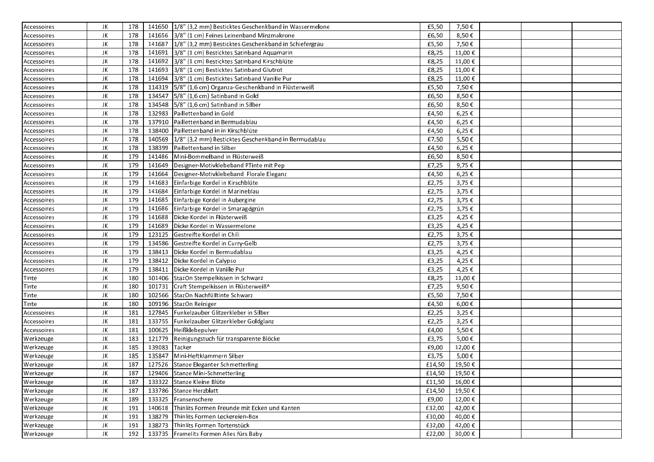| JK<br>141656 3/8" (1 cm) Feines Leinenband Minzmakrone<br>£6,50<br>8,50€<br>178<br>Accessoires<br>141687   1/8" (3,2 mm) Besticktes Geschenkband in Schiefergrau<br>178<br>£5,50<br>7,50€<br>JK<br>Accessoires<br>178<br>141691 3/8" (1 cm) Besticktes Satinband Aquamarin<br>£8,25<br>11,00€<br>JK<br>Accessoires<br>JK<br>178<br>141692 3/8" (1 cm) Besticktes Satinband Kirschblüte<br>£8,25<br>11,00€<br>Accessoires<br>£8,25<br>11,00€<br>JK<br>178<br>141693 3/8" (1 cm) Besticktes Satinband Glutrot<br>Accessoires<br>JK<br>178<br>11,00€<br>141694 3/8" (1 cm) Besticktes Satinband Vanille Pur<br>£8,25<br>Accessoires<br>7,50€<br>JK<br>178<br>114319 5/8" (1,6 cm) Organza-Geschenkband in Flüsterweiß<br>£5,50<br>Accessoires<br>£6,50<br>8,50€<br>JK<br>134547 $ 5/8$ " (1,6 cm) Satinband in Gold<br>178<br>Accessoires<br>178<br>134548 $ 5/8$ " (1,6 cm) Satinband in Silber<br>£6,50<br>8,50€<br>JK<br>Accessoires<br>JK<br>178<br>132983 Paillettenband in Gold<br>£4,50<br>6,25€<br>Accessoires<br>JK<br>178<br>137910<br>Paillettenband in Bermudablau<br>£4,50<br>6,25€<br>Accessoires<br>£4,50<br>6,25€<br>JK<br>178<br>138400<br>Paillettenband in in Kirschblüte<br>Accessoires<br>JK<br>178<br>£7,50<br>5,50€<br>140569 1/8" (3,2 mm) Besticktes Geschenkband in Bermudablau<br>Accessoires<br>JK<br>178<br>138399 Paillettenband in Silber<br>£4,50<br>$6,25 \in$<br>Accessoires<br>141486 Mini-Bommelband in Flüsterweiß<br>8,50€<br>JK<br>179<br>£6,50<br>Accessoires<br>£7,25<br>9,75€<br>JK<br>179<br>141649 Designer-Motivklebeband PTinte mit Pep<br>Accessoires<br>179<br>141664 Designer-Motivklebeband Florale Eleganz<br>£4,50<br>6,25€<br>JK<br>Accessoires<br>179<br>3,75€<br>JK<br>141683 Einfarbige Kordel in Kirschblüte<br>£2,75<br>Accessoires<br>179<br>141684 Einfarbige Kordel in Marineblau<br>£2,75<br>3,75€<br>JK<br>Accessoires<br>141685 Einfarbige Kordel in Aubergine<br>JK<br>179<br>£2,75<br>3,75€<br>Accessoires<br>JK<br>179<br>141686 Einfarbige Kordel in Smaragdgrün<br>£2,75<br>3,75€<br>Accessoires<br>JK<br>179<br>141688<br>Dicke Kordel in Flüsterweiß<br>£3,25<br>4,25€<br>Accessoires<br>141689<br>£3,25<br>4,25€<br>JK<br>179<br>Dicke Kordel in Wassermelone<br>Accessoires<br>3,75€<br>JK<br>179<br>123125 Gestreifte Kordel in Chili<br>£2,75<br>Accessoires<br>JK<br>179<br>134586 Gestreifte Kordel in Curry-Gelb<br>£2,75<br>3,75€<br>Accessoires<br>138413 Dicke Kordel in Bermudablau<br>£3,25<br>4,25€<br>JK<br>179<br>Accessoires<br>JK<br>179<br>138412 Dicke Kordel in Calypso<br>£3,25<br>4,25€<br>Accessoires<br>179<br>138411 Dicke Kordel in Vanille Pur<br>£3,25<br>4,25€<br>JK<br>Accessoires<br>JK<br>11,00€<br>180<br>101406 StazOn Stempelkissen in Schwarz<br>£8,25<br>Tinte<br>Craft Stempelkissen in Flüsterweiß^<br>£7,25<br>9,50€<br>Tinte<br>JK<br>180<br>101731<br>7,50€<br>JK<br>180<br>102566 StazOn Nachfülltinte Schwarz<br>£5,50<br>Tinte<br>JK<br>180<br>109196 StazOn Reiniger<br>£4,50<br>6,00€<br>Tinte<br>181<br>127845   Funkelzauber Glitzerkleber in Silber<br>£2,25<br>3,25€<br>JK<br>Accessoires<br>181<br>133755 Funkelzauber Glitzerkleber Goldglanz<br>£2,25<br>3,25€<br>JK<br>Accessoires<br>JK<br>181<br>100625 Heißklebepulver<br>5,50€<br>£4,00<br>Accessoires<br>JK<br>183<br>121779<br>£3,75<br>5,00€<br>Reinigungstuch für transparente Blöcke<br>Werkzeuge<br>JK<br>139083 Tacker<br>£9,00<br>12,00€<br>Werkzeuge<br>185<br>JK<br>185<br>135847<br>Mini-Heftklammern Silber<br>£3,75<br>5,00€<br>Werkzeuge<br>JK<br>187<br>127526 Stanze Eleganter Schmetterling<br>£14.50<br>19,50€<br>Werkzeuge<br>Werkzeuge<br>JK<br>187<br>129406 Stanze Mini-Schmetterling<br>£14,50   19,50 €<br>JK<br>187<br>133322 Stanze Kleine Blüte<br>16,00 €<br>£11,50<br>Werkzeuge<br>19,50€<br>JK<br>187<br>133786 Stanze Herzblatt<br>£14,50<br>Werkzeuge<br>JK<br>189<br>133325 Fransenschere<br>12,00 €<br>Werkzeuge<br>£9,00<br>42,00€<br>JK<br>191<br>140618 Thinlits Formen Freunde mit Ecken und Kanten<br>£32,00<br>Werkzeuge<br>40,00€<br>JK<br>138279 Thinlits Formen Leckereien-Box<br>£30,00<br>191<br>Werkzeuge | Accessoires | JK | 178 | 141650 1/8" (3,2 mm) Besticktes Geschenkband in Wassermelone | £5,50 | 7,50€ |  |  |
|----------------------------------------------------------------------------------------------------------------------------------------------------------------------------------------------------------------------------------------------------------------------------------------------------------------------------------------------------------------------------------------------------------------------------------------------------------------------------------------------------------------------------------------------------------------------------------------------------------------------------------------------------------------------------------------------------------------------------------------------------------------------------------------------------------------------------------------------------------------------------------------------------------------------------------------------------------------------------------------------------------------------------------------------------------------------------------------------------------------------------------------------------------------------------------------------------------------------------------------------------------------------------------------------------------------------------------------------------------------------------------------------------------------------------------------------------------------------------------------------------------------------------------------------------------------------------------------------------------------------------------------------------------------------------------------------------------------------------------------------------------------------------------------------------------------------------------------------------------------------------------------------------------------------------------------------------------------------------------------------------------------------------------------------------------------------------------------------------------------------------------------------------------------------------------------------------------------------------------------------------------------------------------------------------------------------------------------------------------------------------------------------------------------------------------------------------------------------------------------------------------------------------------------------------------------------------------------------------------------------------------------------------------------------------------------------------------------------------------------------------------------------------------------------------------------------------------------------------------------------------------------------------------------------------------------------------------------------------------------------------------------------------------------------------------------------------------------------------------------------------------------------------------------------------------------------------------------------------------------------------------------------------------------------------------------------------------------------------------------------------------------------------------------------------------------------------------------------------------------------------------------------------------------------------------------------------------------------------------------------------------------------------------------------------------------------------------------------------------------------------------------------------------------------------------------------------------------------------------------------------------------------------------------------------------------------------------------------------------------------------------------------------------------------------------------------------------------------------------------------------------------|-------------|----|-----|--------------------------------------------------------------|-------|-------|--|--|
|                                                                                                                                                                                                                                                                                                                                                                                                                                                                                                                                                                                                                                                                                                                                                                                                                                                                                                                                                                                                                                                                                                                                                                                                                                                                                                                                                                                                                                                                                                                                                                                                                                                                                                                                                                                                                                                                                                                                                                                                                                                                                                                                                                                                                                                                                                                                                                                                                                                                                                                                                                                                                                                                                                                                                                                                                                                                                                                                                                                                                                                                                                                                                                                                                                                                                                                                                                                                                                                                                                                                                                                                                                                                                                                                                                                                                                                                                                                                                                                                                                                                                                                                        |             |    |     |                                                              |       |       |  |  |
|                                                                                                                                                                                                                                                                                                                                                                                                                                                                                                                                                                                                                                                                                                                                                                                                                                                                                                                                                                                                                                                                                                                                                                                                                                                                                                                                                                                                                                                                                                                                                                                                                                                                                                                                                                                                                                                                                                                                                                                                                                                                                                                                                                                                                                                                                                                                                                                                                                                                                                                                                                                                                                                                                                                                                                                                                                                                                                                                                                                                                                                                                                                                                                                                                                                                                                                                                                                                                                                                                                                                                                                                                                                                                                                                                                                                                                                                                                                                                                                                                                                                                                                                        |             |    |     |                                                              |       |       |  |  |
|                                                                                                                                                                                                                                                                                                                                                                                                                                                                                                                                                                                                                                                                                                                                                                                                                                                                                                                                                                                                                                                                                                                                                                                                                                                                                                                                                                                                                                                                                                                                                                                                                                                                                                                                                                                                                                                                                                                                                                                                                                                                                                                                                                                                                                                                                                                                                                                                                                                                                                                                                                                                                                                                                                                                                                                                                                                                                                                                                                                                                                                                                                                                                                                                                                                                                                                                                                                                                                                                                                                                                                                                                                                                                                                                                                                                                                                                                                                                                                                                                                                                                                                                        |             |    |     |                                                              |       |       |  |  |
|                                                                                                                                                                                                                                                                                                                                                                                                                                                                                                                                                                                                                                                                                                                                                                                                                                                                                                                                                                                                                                                                                                                                                                                                                                                                                                                                                                                                                                                                                                                                                                                                                                                                                                                                                                                                                                                                                                                                                                                                                                                                                                                                                                                                                                                                                                                                                                                                                                                                                                                                                                                                                                                                                                                                                                                                                                                                                                                                                                                                                                                                                                                                                                                                                                                                                                                                                                                                                                                                                                                                                                                                                                                                                                                                                                                                                                                                                                                                                                                                                                                                                                                                        |             |    |     |                                                              |       |       |  |  |
|                                                                                                                                                                                                                                                                                                                                                                                                                                                                                                                                                                                                                                                                                                                                                                                                                                                                                                                                                                                                                                                                                                                                                                                                                                                                                                                                                                                                                                                                                                                                                                                                                                                                                                                                                                                                                                                                                                                                                                                                                                                                                                                                                                                                                                                                                                                                                                                                                                                                                                                                                                                                                                                                                                                                                                                                                                                                                                                                                                                                                                                                                                                                                                                                                                                                                                                                                                                                                                                                                                                                                                                                                                                                                                                                                                                                                                                                                                                                                                                                                                                                                                                                        |             |    |     |                                                              |       |       |  |  |
|                                                                                                                                                                                                                                                                                                                                                                                                                                                                                                                                                                                                                                                                                                                                                                                                                                                                                                                                                                                                                                                                                                                                                                                                                                                                                                                                                                                                                                                                                                                                                                                                                                                                                                                                                                                                                                                                                                                                                                                                                                                                                                                                                                                                                                                                                                                                                                                                                                                                                                                                                                                                                                                                                                                                                                                                                                                                                                                                                                                                                                                                                                                                                                                                                                                                                                                                                                                                                                                                                                                                                                                                                                                                                                                                                                                                                                                                                                                                                                                                                                                                                                                                        |             |    |     |                                                              |       |       |  |  |
|                                                                                                                                                                                                                                                                                                                                                                                                                                                                                                                                                                                                                                                                                                                                                                                                                                                                                                                                                                                                                                                                                                                                                                                                                                                                                                                                                                                                                                                                                                                                                                                                                                                                                                                                                                                                                                                                                                                                                                                                                                                                                                                                                                                                                                                                                                                                                                                                                                                                                                                                                                                                                                                                                                                                                                                                                                                                                                                                                                                                                                                                                                                                                                                                                                                                                                                                                                                                                                                                                                                                                                                                                                                                                                                                                                                                                                                                                                                                                                                                                                                                                                                                        |             |    |     |                                                              |       |       |  |  |
|                                                                                                                                                                                                                                                                                                                                                                                                                                                                                                                                                                                                                                                                                                                                                                                                                                                                                                                                                                                                                                                                                                                                                                                                                                                                                                                                                                                                                                                                                                                                                                                                                                                                                                                                                                                                                                                                                                                                                                                                                                                                                                                                                                                                                                                                                                                                                                                                                                                                                                                                                                                                                                                                                                                                                                                                                                                                                                                                                                                                                                                                                                                                                                                                                                                                                                                                                                                                                                                                                                                                                                                                                                                                                                                                                                                                                                                                                                                                                                                                                                                                                                                                        |             |    |     |                                                              |       |       |  |  |
|                                                                                                                                                                                                                                                                                                                                                                                                                                                                                                                                                                                                                                                                                                                                                                                                                                                                                                                                                                                                                                                                                                                                                                                                                                                                                                                                                                                                                                                                                                                                                                                                                                                                                                                                                                                                                                                                                                                                                                                                                                                                                                                                                                                                                                                                                                                                                                                                                                                                                                                                                                                                                                                                                                                                                                                                                                                                                                                                                                                                                                                                                                                                                                                                                                                                                                                                                                                                                                                                                                                                                                                                                                                                                                                                                                                                                                                                                                                                                                                                                                                                                                                                        |             |    |     |                                                              |       |       |  |  |
|                                                                                                                                                                                                                                                                                                                                                                                                                                                                                                                                                                                                                                                                                                                                                                                                                                                                                                                                                                                                                                                                                                                                                                                                                                                                                                                                                                                                                                                                                                                                                                                                                                                                                                                                                                                                                                                                                                                                                                                                                                                                                                                                                                                                                                                                                                                                                                                                                                                                                                                                                                                                                                                                                                                                                                                                                                                                                                                                                                                                                                                                                                                                                                                                                                                                                                                                                                                                                                                                                                                                                                                                                                                                                                                                                                                                                                                                                                                                                                                                                                                                                                                                        |             |    |     |                                                              |       |       |  |  |
|                                                                                                                                                                                                                                                                                                                                                                                                                                                                                                                                                                                                                                                                                                                                                                                                                                                                                                                                                                                                                                                                                                                                                                                                                                                                                                                                                                                                                                                                                                                                                                                                                                                                                                                                                                                                                                                                                                                                                                                                                                                                                                                                                                                                                                                                                                                                                                                                                                                                                                                                                                                                                                                                                                                                                                                                                                                                                                                                                                                                                                                                                                                                                                                                                                                                                                                                                                                                                                                                                                                                                                                                                                                                                                                                                                                                                                                                                                                                                                                                                                                                                                                                        |             |    |     |                                                              |       |       |  |  |
|                                                                                                                                                                                                                                                                                                                                                                                                                                                                                                                                                                                                                                                                                                                                                                                                                                                                                                                                                                                                                                                                                                                                                                                                                                                                                                                                                                                                                                                                                                                                                                                                                                                                                                                                                                                                                                                                                                                                                                                                                                                                                                                                                                                                                                                                                                                                                                                                                                                                                                                                                                                                                                                                                                                                                                                                                                                                                                                                                                                                                                                                                                                                                                                                                                                                                                                                                                                                                                                                                                                                                                                                                                                                                                                                                                                                                                                                                                                                                                                                                                                                                                                                        |             |    |     |                                                              |       |       |  |  |
|                                                                                                                                                                                                                                                                                                                                                                                                                                                                                                                                                                                                                                                                                                                                                                                                                                                                                                                                                                                                                                                                                                                                                                                                                                                                                                                                                                                                                                                                                                                                                                                                                                                                                                                                                                                                                                                                                                                                                                                                                                                                                                                                                                                                                                                                                                                                                                                                                                                                                                                                                                                                                                                                                                                                                                                                                                                                                                                                                                                                                                                                                                                                                                                                                                                                                                                                                                                                                                                                                                                                                                                                                                                                                                                                                                                                                                                                                                                                                                                                                                                                                                                                        |             |    |     |                                                              |       |       |  |  |
|                                                                                                                                                                                                                                                                                                                                                                                                                                                                                                                                                                                                                                                                                                                                                                                                                                                                                                                                                                                                                                                                                                                                                                                                                                                                                                                                                                                                                                                                                                                                                                                                                                                                                                                                                                                                                                                                                                                                                                                                                                                                                                                                                                                                                                                                                                                                                                                                                                                                                                                                                                                                                                                                                                                                                                                                                                                                                                                                                                                                                                                                                                                                                                                                                                                                                                                                                                                                                                                                                                                                                                                                                                                                                                                                                                                                                                                                                                                                                                                                                                                                                                                                        |             |    |     |                                                              |       |       |  |  |
|                                                                                                                                                                                                                                                                                                                                                                                                                                                                                                                                                                                                                                                                                                                                                                                                                                                                                                                                                                                                                                                                                                                                                                                                                                                                                                                                                                                                                                                                                                                                                                                                                                                                                                                                                                                                                                                                                                                                                                                                                                                                                                                                                                                                                                                                                                                                                                                                                                                                                                                                                                                                                                                                                                                                                                                                                                                                                                                                                                                                                                                                                                                                                                                                                                                                                                                                                                                                                                                                                                                                                                                                                                                                                                                                                                                                                                                                                                                                                                                                                                                                                                                                        |             |    |     |                                                              |       |       |  |  |
|                                                                                                                                                                                                                                                                                                                                                                                                                                                                                                                                                                                                                                                                                                                                                                                                                                                                                                                                                                                                                                                                                                                                                                                                                                                                                                                                                                                                                                                                                                                                                                                                                                                                                                                                                                                                                                                                                                                                                                                                                                                                                                                                                                                                                                                                                                                                                                                                                                                                                                                                                                                                                                                                                                                                                                                                                                                                                                                                                                                                                                                                                                                                                                                                                                                                                                                                                                                                                                                                                                                                                                                                                                                                                                                                                                                                                                                                                                                                                                                                                                                                                                                                        |             |    |     |                                                              |       |       |  |  |
|                                                                                                                                                                                                                                                                                                                                                                                                                                                                                                                                                                                                                                                                                                                                                                                                                                                                                                                                                                                                                                                                                                                                                                                                                                                                                                                                                                                                                                                                                                                                                                                                                                                                                                                                                                                                                                                                                                                                                                                                                                                                                                                                                                                                                                                                                                                                                                                                                                                                                                                                                                                                                                                                                                                                                                                                                                                                                                                                                                                                                                                                                                                                                                                                                                                                                                                                                                                                                                                                                                                                                                                                                                                                                                                                                                                                                                                                                                                                                                                                                                                                                                                                        |             |    |     |                                                              |       |       |  |  |
|                                                                                                                                                                                                                                                                                                                                                                                                                                                                                                                                                                                                                                                                                                                                                                                                                                                                                                                                                                                                                                                                                                                                                                                                                                                                                                                                                                                                                                                                                                                                                                                                                                                                                                                                                                                                                                                                                                                                                                                                                                                                                                                                                                                                                                                                                                                                                                                                                                                                                                                                                                                                                                                                                                                                                                                                                                                                                                                                                                                                                                                                                                                                                                                                                                                                                                                                                                                                                                                                                                                                                                                                                                                                                                                                                                                                                                                                                                                                                                                                                                                                                                                                        |             |    |     |                                                              |       |       |  |  |
|                                                                                                                                                                                                                                                                                                                                                                                                                                                                                                                                                                                                                                                                                                                                                                                                                                                                                                                                                                                                                                                                                                                                                                                                                                                                                                                                                                                                                                                                                                                                                                                                                                                                                                                                                                                                                                                                                                                                                                                                                                                                                                                                                                                                                                                                                                                                                                                                                                                                                                                                                                                                                                                                                                                                                                                                                                                                                                                                                                                                                                                                                                                                                                                                                                                                                                                                                                                                                                                                                                                                                                                                                                                                                                                                                                                                                                                                                                                                                                                                                                                                                                                                        |             |    |     |                                                              |       |       |  |  |
|                                                                                                                                                                                                                                                                                                                                                                                                                                                                                                                                                                                                                                                                                                                                                                                                                                                                                                                                                                                                                                                                                                                                                                                                                                                                                                                                                                                                                                                                                                                                                                                                                                                                                                                                                                                                                                                                                                                                                                                                                                                                                                                                                                                                                                                                                                                                                                                                                                                                                                                                                                                                                                                                                                                                                                                                                                                                                                                                                                                                                                                                                                                                                                                                                                                                                                                                                                                                                                                                                                                                                                                                                                                                                                                                                                                                                                                                                                                                                                                                                                                                                                                                        |             |    |     |                                                              |       |       |  |  |
|                                                                                                                                                                                                                                                                                                                                                                                                                                                                                                                                                                                                                                                                                                                                                                                                                                                                                                                                                                                                                                                                                                                                                                                                                                                                                                                                                                                                                                                                                                                                                                                                                                                                                                                                                                                                                                                                                                                                                                                                                                                                                                                                                                                                                                                                                                                                                                                                                                                                                                                                                                                                                                                                                                                                                                                                                                                                                                                                                                                                                                                                                                                                                                                                                                                                                                                                                                                                                                                                                                                                                                                                                                                                                                                                                                                                                                                                                                                                                                                                                                                                                                                                        |             |    |     |                                                              |       |       |  |  |
|                                                                                                                                                                                                                                                                                                                                                                                                                                                                                                                                                                                                                                                                                                                                                                                                                                                                                                                                                                                                                                                                                                                                                                                                                                                                                                                                                                                                                                                                                                                                                                                                                                                                                                                                                                                                                                                                                                                                                                                                                                                                                                                                                                                                                                                                                                                                                                                                                                                                                                                                                                                                                                                                                                                                                                                                                                                                                                                                                                                                                                                                                                                                                                                                                                                                                                                                                                                                                                                                                                                                                                                                                                                                                                                                                                                                                                                                                                                                                                                                                                                                                                                                        |             |    |     |                                                              |       |       |  |  |
|                                                                                                                                                                                                                                                                                                                                                                                                                                                                                                                                                                                                                                                                                                                                                                                                                                                                                                                                                                                                                                                                                                                                                                                                                                                                                                                                                                                                                                                                                                                                                                                                                                                                                                                                                                                                                                                                                                                                                                                                                                                                                                                                                                                                                                                                                                                                                                                                                                                                                                                                                                                                                                                                                                                                                                                                                                                                                                                                                                                                                                                                                                                                                                                                                                                                                                                                                                                                                                                                                                                                                                                                                                                                                                                                                                                                                                                                                                                                                                                                                                                                                                                                        |             |    |     |                                                              |       |       |  |  |
|                                                                                                                                                                                                                                                                                                                                                                                                                                                                                                                                                                                                                                                                                                                                                                                                                                                                                                                                                                                                                                                                                                                                                                                                                                                                                                                                                                                                                                                                                                                                                                                                                                                                                                                                                                                                                                                                                                                                                                                                                                                                                                                                                                                                                                                                                                                                                                                                                                                                                                                                                                                                                                                                                                                                                                                                                                                                                                                                                                                                                                                                                                                                                                                                                                                                                                                                                                                                                                                                                                                                                                                                                                                                                                                                                                                                                                                                                                                                                                                                                                                                                                                                        |             |    |     |                                                              |       |       |  |  |
|                                                                                                                                                                                                                                                                                                                                                                                                                                                                                                                                                                                                                                                                                                                                                                                                                                                                                                                                                                                                                                                                                                                                                                                                                                                                                                                                                                                                                                                                                                                                                                                                                                                                                                                                                                                                                                                                                                                                                                                                                                                                                                                                                                                                                                                                                                                                                                                                                                                                                                                                                                                                                                                                                                                                                                                                                                                                                                                                                                                                                                                                                                                                                                                                                                                                                                                                                                                                                                                                                                                                                                                                                                                                                                                                                                                                                                                                                                                                                                                                                                                                                                                                        |             |    |     |                                                              |       |       |  |  |
|                                                                                                                                                                                                                                                                                                                                                                                                                                                                                                                                                                                                                                                                                                                                                                                                                                                                                                                                                                                                                                                                                                                                                                                                                                                                                                                                                                                                                                                                                                                                                                                                                                                                                                                                                                                                                                                                                                                                                                                                                                                                                                                                                                                                                                                                                                                                                                                                                                                                                                                                                                                                                                                                                                                                                                                                                                                                                                                                                                                                                                                                                                                                                                                                                                                                                                                                                                                                                                                                                                                                                                                                                                                                                                                                                                                                                                                                                                                                                                                                                                                                                                                                        |             |    |     |                                                              |       |       |  |  |
|                                                                                                                                                                                                                                                                                                                                                                                                                                                                                                                                                                                                                                                                                                                                                                                                                                                                                                                                                                                                                                                                                                                                                                                                                                                                                                                                                                                                                                                                                                                                                                                                                                                                                                                                                                                                                                                                                                                                                                                                                                                                                                                                                                                                                                                                                                                                                                                                                                                                                                                                                                                                                                                                                                                                                                                                                                                                                                                                                                                                                                                                                                                                                                                                                                                                                                                                                                                                                                                                                                                                                                                                                                                                                                                                                                                                                                                                                                                                                                                                                                                                                                                                        |             |    |     |                                                              |       |       |  |  |
|                                                                                                                                                                                                                                                                                                                                                                                                                                                                                                                                                                                                                                                                                                                                                                                                                                                                                                                                                                                                                                                                                                                                                                                                                                                                                                                                                                                                                                                                                                                                                                                                                                                                                                                                                                                                                                                                                                                                                                                                                                                                                                                                                                                                                                                                                                                                                                                                                                                                                                                                                                                                                                                                                                                                                                                                                                                                                                                                                                                                                                                                                                                                                                                                                                                                                                                                                                                                                                                                                                                                                                                                                                                                                                                                                                                                                                                                                                                                                                                                                                                                                                                                        |             |    |     |                                                              |       |       |  |  |
|                                                                                                                                                                                                                                                                                                                                                                                                                                                                                                                                                                                                                                                                                                                                                                                                                                                                                                                                                                                                                                                                                                                                                                                                                                                                                                                                                                                                                                                                                                                                                                                                                                                                                                                                                                                                                                                                                                                                                                                                                                                                                                                                                                                                                                                                                                                                                                                                                                                                                                                                                                                                                                                                                                                                                                                                                                                                                                                                                                                                                                                                                                                                                                                                                                                                                                                                                                                                                                                                                                                                                                                                                                                                                                                                                                                                                                                                                                                                                                                                                                                                                                                                        |             |    |     |                                                              |       |       |  |  |
|                                                                                                                                                                                                                                                                                                                                                                                                                                                                                                                                                                                                                                                                                                                                                                                                                                                                                                                                                                                                                                                                                                                                                                                                                                                                                                                                                                                                                                                                                                                                                                                                                                                                                                                                                                                                                                                                                                                                                                                                                                                                                                                                                                                                                                                                                                                                                                                                                                                                                                                                                                                                                                                                                                                                                                                                                                                                                                                                                                                                                                                                                                                                                                                                                                                                                                                                                                                                                                                                                                                                                                                                                                                                                                                                                                                                                                                                                                                                                                                                                                                                                                                                        |             |    |     |                                                              |       |       |  |  |
|                                                                                                                                                                                                                                                                                                                                                                                                                                                                                                                                                                                                                                                                                                                                                                                                                                                                                                                                                                                                                                                                                                                                                                                                                                                                                                                                                                                                                                                                                                                                                                                                                                                                                                                                                                                                                                                                                                                                                                                                                                                                                                                                                                                                                                                                                                                                                                                                                                                                                                                                                                                                                                                                                                                                                                                                                                                                                                                                                                                                                                                                                                                                                                                                                                                                                                                                                                                                                                                                                                                                                                                                                                                                                                                                                                                                                                                                                                                                                                                                                                                                                                                                        |             |    |     |                                                              |       |       |  |  |
|                                                                                                                                                                                                                                                                                                                                                                                                                                                                                                                                                                                                                                                                                                                                                                                                                                                                                                                                                                                                                                                                                                                                                                                                                                                                                                                                                                                                                                                                                                                                                                                                                                                                                                                                                                                                                                                                                                                                                                                                                                                                                                                                                                                                                                                                                                                                                                                                                                                                                                                                                                                                                                                                                                                                                                                                                                                                                                                                                                                                                                                                                                                                                                                                                                                                                                                                                                                                                                                                                                                                                                                                                                                                                                                                                                                                                                                                                                                                                                                                                                                                                                                                        |             |    |     |                                                              |       |       |  |  |
|                                                                                                                                                                                                                                                                                                                                                                                                                                                                                                                                                                                                                                                                                                                                                                                                                                                                                                                                                                                                                                                                                                                                                                                                                                                                                                                                                                                                                                                                                                                                                                                                                                                                                                                                                                                                                                                                                                                                                                                                                                                                                                                                                                                                                                                                                                                                                                                                                                                                                                                                                                                                                                                                                                                                                                                                                                                                                                                                                                                                                                                                                                                                                                                                                                                                                                                                                                                                                                                                                                                                                                                                                                                                                                                                                                                                                                                                                                                                                                                                                                                                                                                                        |             |    |     |                                                              |       |       |  |  |
|                                                                                                                                                                                                                                                                                                                                                                                                                                                                                                                                                                                                                                                                                                                                                                                                                                                                                                                                                                                                                                                                                                                                                                                                                                                                                                                                                                                                                                                                                                                                                                                                                                                                                                                                                                                                                                                                                                                                                                                                                                                                                                                                                                                                                                                                                                                                                                                                                                                                                                                                                                                                                                                                                                                                                                                                                                                                                                                                                                                                                                                                                                                                                                                                                                                                                                                                                                                                                                                                                                                                                                                                                                                                                                                                                                                                                                                                                                                                                                                                                                                                                                                                        |             |    |     |                                                              |       |       |  |  |
|                                                                                                                                                                                                                                                                                                                                                                                                                                                                                                                                                                                                                                                                                                                                                                                                                                                                                                                                                                                                                                                                                                                                                                                                                                                                                                                                                                                                                                                                                                                                                                                                                                                                                                                                                                                                                                                                                                                                                                                                                                                                                                                                                                                                                                                                                                                                                                                                                                                                                                                                                                                                                                                                                                                                                                                                                                                                                                                                                                                                                                                                                                                                                                                                                                                                                                                                                                                                                                                                                                                                                                                                                                                                                                                                                                                                                                                                                                                                                                                                                                                                                                                                        |             |    |     |                                                              |       |       |  |  |
|                                                                                                                                                                                                                                                                                                                                                                                                                                                                                                                                                                                                                                                                                                                                                                                                                                                                                                                                                                                                                                                                                                                                                                                                                                                                                                                                                                                                                                                                                                                                                                                                                                                                                                                                                                                                                                                                                                                                                                                                                                                                                                                                                                                                                                                                                                                                                                                                                                                                                                                                                                                                                                                                                                                                                                                                                                                                                                                                                                                                                                                                                                                                                                                                                                                                                                                                                                                                                                                                                                                                                                                                                                                                                                                                                                                                                                                                                                                                                                                                                                                                                                                                        |             |    |     |                                                              |       |       |  |  |
|                                                                                                                                                                                                                                                                                                                                                                                                                                                                                                                                                                                                                                                                                                                                                                                                                                                                                                                                                                                                                                                                                                                                                                                                                                                                                                                                                                                                                                                                                                                                                                                                                                                                                                                                                                                                                                                                                                                                                                                                                                                                                                                                                                                                                                                                                                                                                                                                                                                                                                                                                                                                                                                                                                                                                                                                                                                                                                                                                                                                                                                                                                                                                                                                                                                                                                                                                                                                                                                                                                                                                                                                                                                                                                                                                                                                                                                                                                                                                                                                                                                                                                                                        |             |    |     |                                                              |       |       |  |  |
|                                                                                                                                                                                                                                                                                                                                                                                                                                                                                                                                                                                                                                                                                                                                                                                                                                                                                                                                                                                                                                                                                                                                                                                                                                                                                                                                                                                                                                                                                                                                                                                                                                                                                                                                                                                                                                                                                                                                                                                                                                                                                                                                                                                                                                                                                                                                                                                                                                                                                                                                                                                                                                                                                                                                                                                                                                                                                                                                                                                                                                                                                                                                                                                                                                                                                                                                                                                                                                                                                                                                                                                                                                                                                                                                                                                                                                                                                                                                                                                                                                                                                                                                        |             |    |     |                                                              |       |       |  |  |
|                                                                                                                                                                                                                                                                                                                                                                                                                                                                                                                                                                                                                                                                                                                                                                                                                                                                                                                                                                                                                                                                                                                                                                                                                                                                                                                                                                                                                                                                                                                                                                                                                                                                                                                                                                                                                                                                                                                                                                                                                                                                                                                                                                                                                                                                                                                                                                                                                                                                                                                                                                                                                                                                                                                                                                                                                                                                                                                                                                                                                                                                                                                                                                                                                                                                                                                                                                                                                                                                                                                                                                                                                                                                                                                                                                                                                                                                                                                                                                                                                                                                                                                                        |             |    |     |                                                              |       |       |  |  |
|                                                                                                                                                                                                                                                                                                                                                                                                                                                                                                                                                                                                                                                                                                                                                                                                                                                                                                                                                                                                                                                                                                                                                                                                                                                                                                                                                                                                                                                                                                                                                                                                                                                                                                                                                                                                                                                                                                                                                                                                                                                                                                                                                                                                                                                                                                                                                                                                                                                                                                                                                                                                                                                                                                                                                                                                                                                                                                                                                                                                                                                                                                                                                                                                                                                                                                                                                                                                                                                                                                                                                                                                                                                                                                                                                                                                                                                                                                                                                                                                                                                                                                                                        |             |    |     |                                                              |       |       |  |  |
|                                                                                                                                                                                                                                                                                                                                                                                                                                                                                                                                                                                                                                                                                                                                                                                                                                                                                                                                                                                                                                                                                                                                                                                                                                                                                                                                                                                                                                                                                                                                                                                                                                                                                                                                                                                                                                                                                                                                                                                                                                                                                                                                                                                                                                                                                                                                                                                                                                                                                                                                                                                                                                                                                                                                                                                                                                                                                                                                                                                                                                                                                                                                                                                                                                                                                                                                                                                                                                                                                                                                                                                                                                                                                                                                                                                                                                                                                                                                                                                                                                                                                                                                        |             |    |     |                                                              |       |       |  |  |
|                                                                                                                                                                                                                                                                                                                                                                                                                                                                                                                                                                                                                                                                                                                                                                                                                                                                                                                                                                                                                                                                                                                                                                                                                                                                                                                                                                                                                                                                                                                                                                                                                                                                                                                                                                                                                                                                                                                                                                                                                                                                                                                                                                                                                                                                                                                                                                                                                                                                                                                                                                                                                                                                                                                                                                                                                                                                                                                                                                                                                                                                                                                                                                                                                                                                                                                                                                                                                                                                                                                                                                                                                                                                                                                                                                                                                                                                                                                                                                                                                                                                                                                                        |             |    |     |                                                              |       |       |  |  |
|                                                                                                                                                                                                                                                                                                                                                                                                                                                                                                                                                                                                                                                                                                                                                                                                                                                                                                                                                                                                                                                                                                                                                                                                                                                                                                                                                                                                                                                                                                                                                                                                                                                                                                                                                                                                                                                                                                                                                                                                                                                                                                                                                                                                                                                                                                                                                                                                                                                                                                                                                                                                                                                                                                                                                                                                                                                                                                                                                                                                                                                                                                                                                                                                                                                                                                                                                                                                                                                                                                                                                                                                                                                                                                                                                                                                                                                                                                                                                                                                                                                                                                                                        |             |    |     |                                                              |       |       |  |  |
|                                                                                                                                                                                                                                                                                                                                                                                                                                                                                                                                                                                                                                                                                                                                                                                                                                                                                                                                                                                                                                                                                                                                                                                                                                                                                                                                                                                                                                                                                                                                                                                                                                                                                                                                                                                                                                                                                                                                                                                                                                                                                                                                                                                                                                                                                                                                                                                                                                                                                                                                                                                                                                                                                                                                                                                                                                                                                                                                                                                                                                                                                                                                                                                                                                                                                                                                                                                                                                                                                                                                                                                                                                                                                                                                                                                                                                                                                                                                                                                                                                                                                                                                        |             |    |     |                                                              |       |       |  |  |
|                                                                                                                                                                                                                                                                                                                                                                                                                                                                                                                                                                                                                                                                                                                                                                                                                                                                                                                                                                                                                                                                                                                                                                                                                                                                                                                                                                                                                                                                                                                                                                                                                                                                                                                                                                                                                                                                                                                                                                                                                                                                                                                                                                                                                                                                                                                                                                                                                                                                                                                                                                                                                                                                                                                                                                                                                                                                                                                                                                                                                                                                                                                                                                                                                                                                                                                                                                                                                                                                                                                                                                                                                                                                                                                                                                                                                                                                                                                                                                                                                                                                                                                                        |             |    |     |                                                              |       |       |  |  |
| JK<br>191<br>138273 Thinlits Formen Tortenstück<br>£32,00<br>42,00€<br>Werkzeuge                                                                                                                                                                                                                                                                                                                                                                                                                                                                                                                                                                                                                                                                                                                                                                                                                                                                                                                                                                                                                                                                                                                                                                                                                                                                                                                                                                                                                                                                                                                                                                                                                                                                                                                                                                                                                                                                                                                                                                                                                                                                                                                                                                                                                                                                                                                                                                                                                                                                                                                                                                                                                                                                                                                                                                                                                                                                                                                                                                                                                                                                                                                                                                                                                                                                                                                                                                                                                                                                                                                                                                                                                                                                                                                                                                                                                                                                                                                                                                                                                                                       |             |    |     |                                                              |       |       |  |  |
| JK<br>192<br>133735   Framelits Formen Alles fürs Baby<br>£22,00<br>30,00€<br>Werkzeuge                                                                                                                                                                                                                                                                                                                                                                                                                                                                                                                                                                                                                                                                                                                                                                                                                                                                                                                                                                                                                                                                                                                                                                                                                                                                                                                                                                                                                                                                                                                                                                                                                                                                                                                                                                                                                                                                                                                                                                                                                                                                                                                                                                                                                                                                                                                                                                                                                                                                                                                                                                                                                                                                                                                                                                                                                                                                                                                                                                                                                                                                                                                                                                                                                                                                                                                                                                                                                                                                                                                                                                                                                                                                                                                                                                                                                                                                                                                                                                                                                                                |             |    |     |                                                              |       |       |  |  |